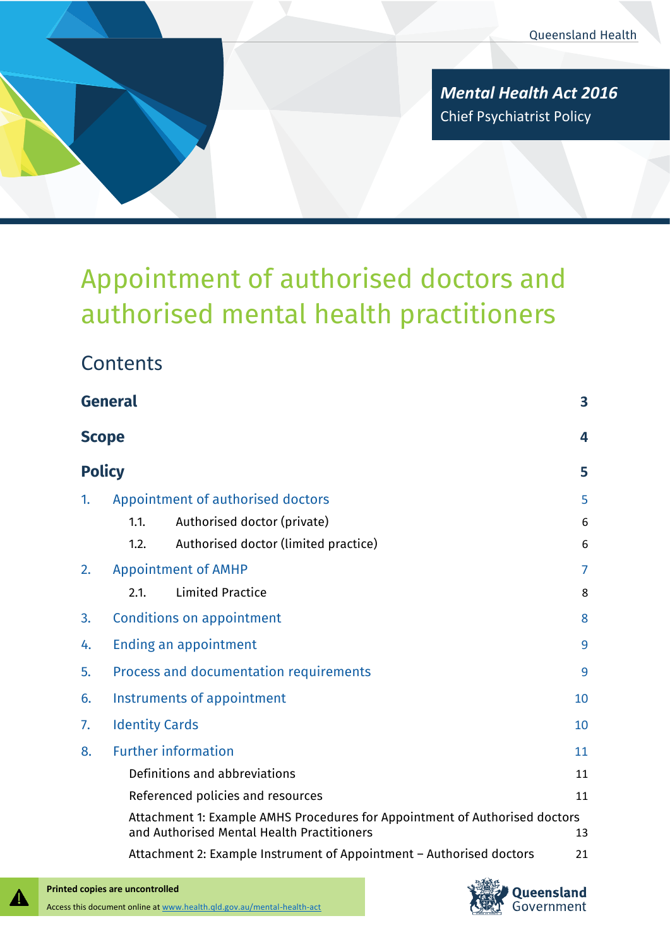*Mental Health Act 2016* Chief Psychiatrist Policy

# Appointment of authorised doctors and authorised mental health practitioners

|                                  | <b>General</b>                         |                                                                                                                           | 3  |
|----------------------------------|----------------------------------------|---------------------------------------------------------------------------------------------------------------------------|----|
|                                  | <b>Scope</b>                           |                                                                                                                           | 4  |
|                                  | <b>Policy</b>                          |                                                                                                                           | 5  |
| 1.                               |                                        | Appointment of authorised doctors                                                                                         | 5  |
|                                  | 1.1.                                   | Authorised doctor (private)                                                                                               | 6  |
|                                  | 1.2.                                   | Authorised doctor (limited practice)                                                                                      | 6  |
| 2.                               |                                        | <b>Appointment of AMHP</b>                                                                                                | 7  |
|                                  | 2.1.                                   | <b>Limited Practice</b>                                                                                                   | 8  |
| 3.                               |                                        | <b>Conditions on appointment</b>                                                                                          | 8  |
| 4.                               |                                        | Ending an appointment                                                                                                     | 9  |
| 5.                               | Process and documentation requirements |                                                                                                                           | 9  |
| 6.                               |                                        | Instruments of appointment                                                                                                | 10 |
| 7.                               | <b>Identity Cards</b>                  |                                                                                                                           | 10 |
| <b>Further information</b><br>8. |                                        |                                                                                                                           | 11 |
|                                  |                                        | Definitions and abbreviations                                                                                             | 11 |
|                                  |                                        | Referenced policies and resources                                                                                         | 11 |
|                                  |                                        | Attachment 1: Example AMHS Procedures for Appointment of Authorised doctors<br>and Authorised Mental Health Practitioners | 13 |
|                                  |                                        | Attachment 2: Example Instrument of Appointment - Authorised doctors                                                      | 21 |



41

**Contents**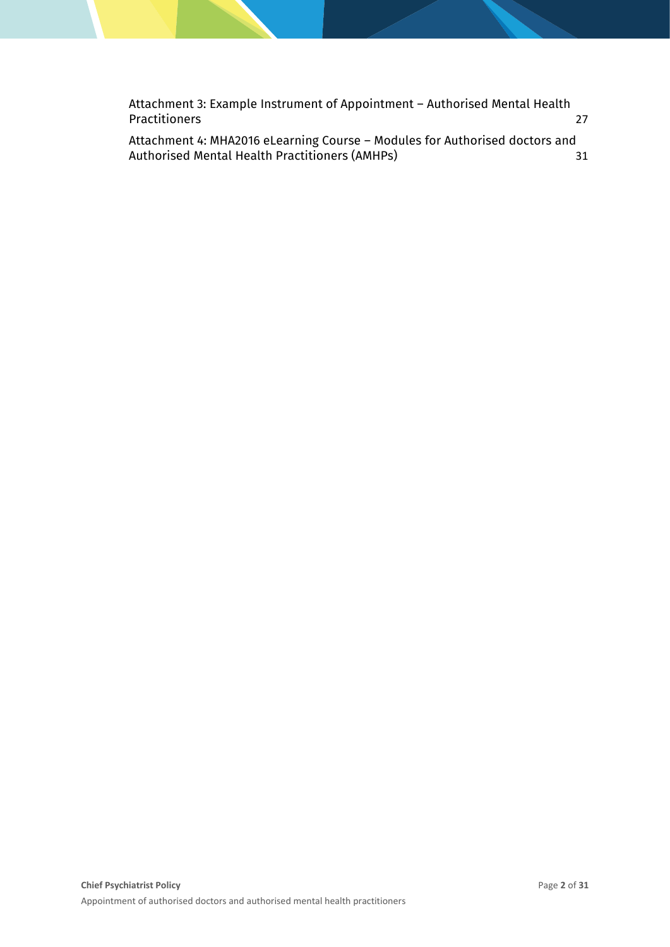[Attachment 3: Example Instrument of Appointment](#page-26-0) – Authorised Mental Health [Practitioners](#page-26-0) 27

[Attachment 4: MHA2016 eLearning Course](#page-30-0) – Modules for Authorised doctors and [Authorised Mental Health Practitioners \(AMHPs\)](#page-30-0) 31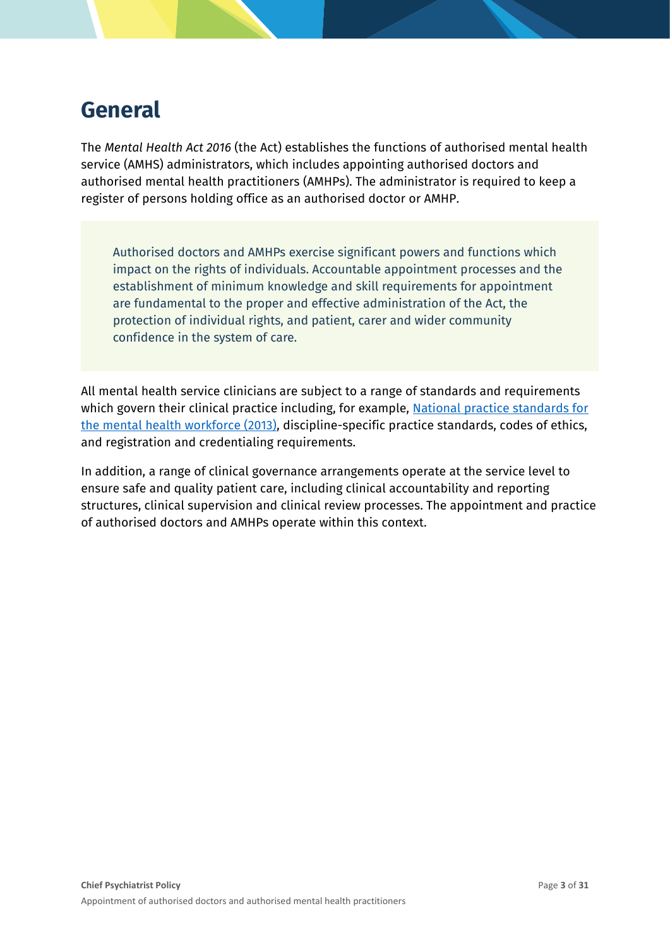## <span id="page-2-0"></span>**General**

The *Mental Health Act 2016* (the Act) establishes the functions of authorised mental health service (AMHS) administrators, which includes appointing authorised doctors and authorised mental health practitioners (AMHPs). The administrator is required to keep a register of persons holding office as an authorised doctor or AMHP.

Authorised doctors and AMHPs exercise significant powers and functions which impact on the rights of individuals. Accountable appointment processes and the establishment of minimum knowledge and skill requirements for appointment are fundamental to the proper and effective administration of the Act, the protection of individual rights, and patient, carer and wider community confidence in the system of care.

All mental health service clinicians are subject to a range of standards and requirements which govern their clinical practice including, for example, National practice standards for [the mental health workforce \(2013\),](https://www.health.gov.au/resources/publications/national-practice-standards-for-the-mental-health-workforce-2013) discipline-specific practice standards, codes of ethics, and registration and credentialing requirements.

In addition, a range of clinical governance arrangements operate at the service level to ensure safe and quality patient care, including clinical accountability and reporting structures, clinical supervision and clinical review processes. The appointment and practice of authorised doctors and AMHPs operate within this context.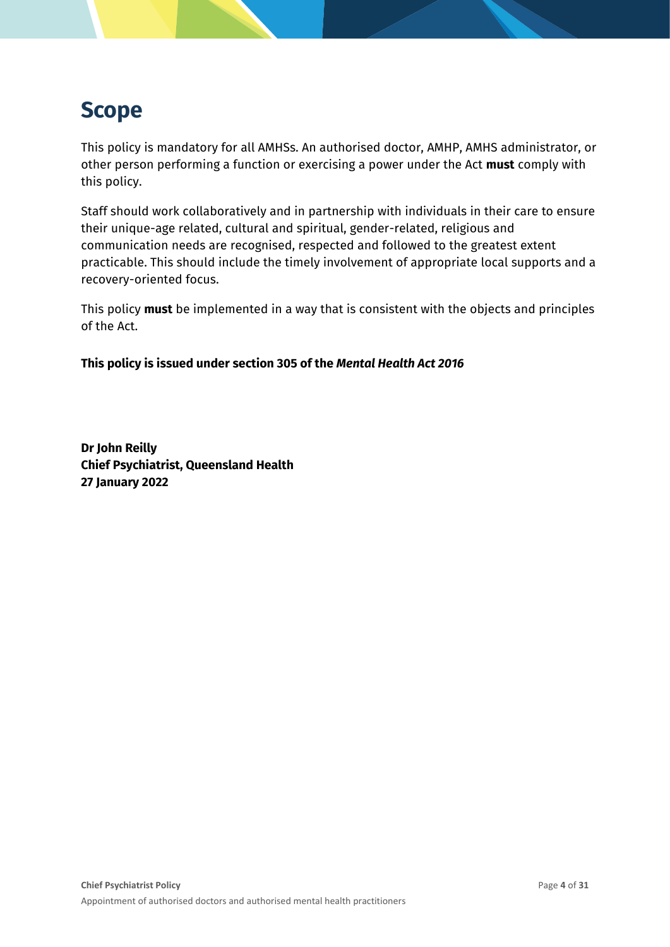## <span id="page-3-0"></span>**Scope**

This policy is mandatory for all AMHSs. An authorised doctor, AMHP, AMHS administrator, or other person performing a function or exercising a power under the Act **must** comply with this policy.

Staff should work collaboratively and in partnership with individuals in their care to ensure their unique-age related, cultural and spiritual, gender-related, religious and communication needs are recognised, respected and followed to the greatest extent practicable. This should include the timely involvement of appropriate local supports and a recovery-oriented focus.

This policy **must** be implemented in a way that is consistent with the objects and principles of the Act.

**This policy is issued under section 305 of the** *Mental Health Act 2016*

**Dr John Reilly Chief Psychiatrist, Queensland Health 27 January 2022**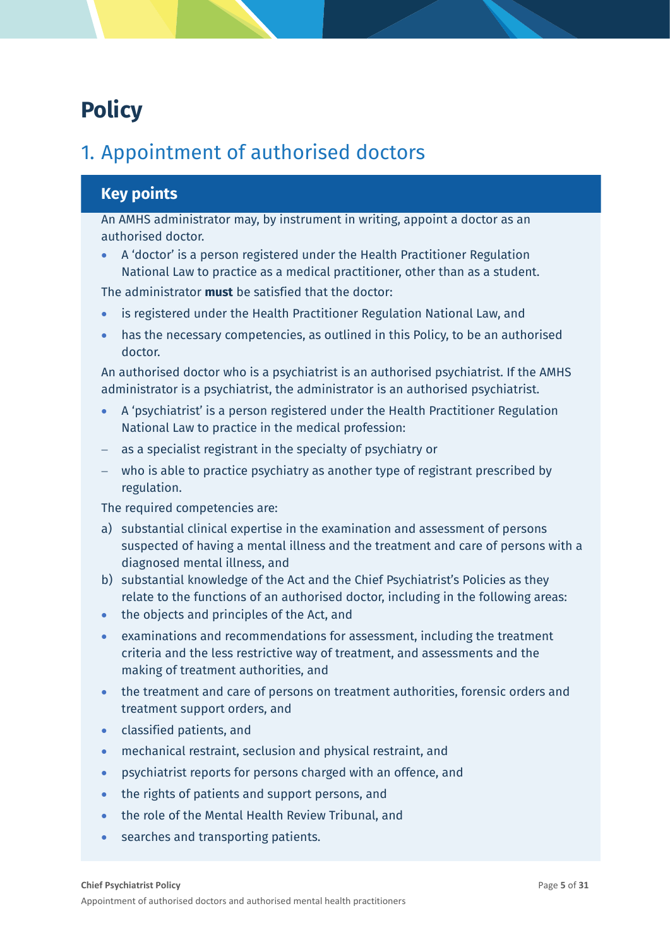## <span id="page-4-0"></span>**Policy**

## <span id="page-4-1"></span>1. Appointment of authorised doctors

## **Key points**

An AMHS administrator may, by instrument in writing, appoint a doctor as an authorised doctor.

• A 'doctor' is a person registered under the Health Practitioner Regulation National Law to practice as a medical practitioner, other than as a student.

The administrator **must** be satisfied that the doctor:

- is registered under the Health Practitioner Regulation National Law, and
- has the necessary competencies, as outlined in this Policy, to be an authorised doctor.

An authorised doctor who is a psychiatrist is an authorised psychiatrist. If the AMHS administrator is a psychiatrist, the administrator is an authorised psychiatrist.

- A 'psychiatrist' is a person registered under the Health Practitioner Regulation National Law to practice in the medical profession:
- − as a specialist registrant in the specialty of psychiatry or
- − who is able to practice psychiatry as another type of registrant prescribed by regulation.

The required competencies are:

- a) substantial clinical expertise in the examination and assessment of persons suspected of having a mental illness and the treatment and care of persons with a diagnosed mental illness, and
- b) substantial knowledge of the Act and the Chief Psychiatrist's Policies as they relate to the functions of an authorised doctor, including in the following areas:
- the objects and principles of the Act, and
- examinations and recommendations for assessment, including the treatment criteria and the less restrictive way of treatment, and assessments and the making of treatment authorities, and
- the treatment and care of persons on treatment authorities, forensic orders and treatment support orders, and
- classified patients, and
- mechanical restraint, seclusion and physical restraint, and
- psychiatrist reports for persons charged with an offence, and
- the rights of patients and support persons, and
- the role of the Mental Health Review Tribunal, and
- searches and transporting patients.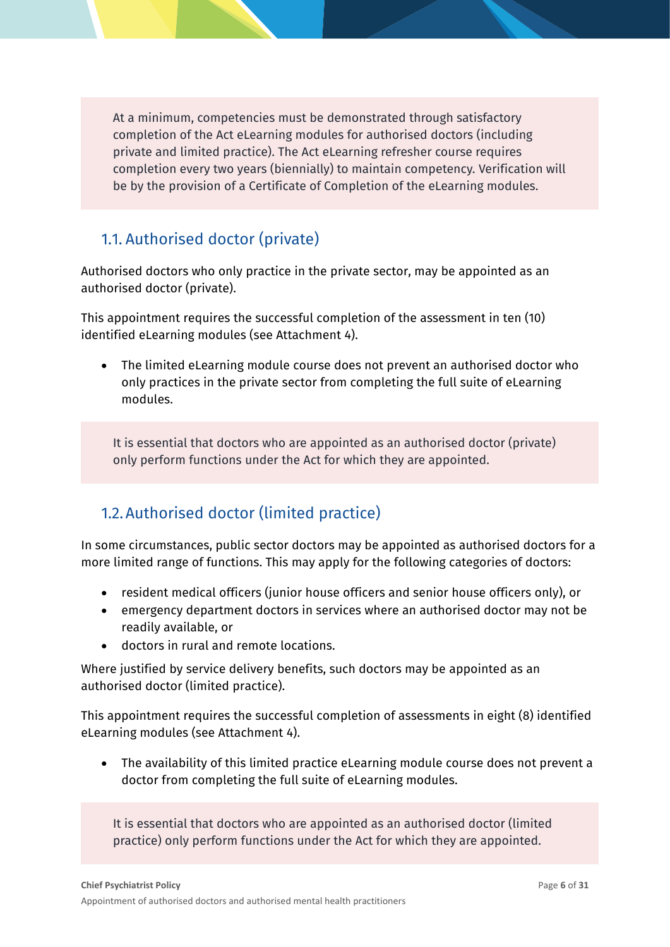At a minimum, competencies must be demonstrated through satisfactory completion of the Act eLearning modules for authorised doctors (including private and limited practice). The Act eLearning refresher course requires completion every two years (biennially) to maintain competency. Verification will be by the provision of a Certificate of Completion of the eLearning modules.

## <span id="page-5-0"></span>1.1. Authorised doctor (private)

Authorised doctors who only practice in the private sector, may be appointed as an authorised doctor (private).

This appointment requires the successful completion of the assessment in ten (10) identified eLearning modules (see Attachment 4).

• The limited eLearning module course does not prevent an authorised doctor who only practices in the private sector from completing the full suite of eLearning modules.

It is essential that doctors who are appointed as an authorised doctor (private) only perform functions under the Act for which they are appointed.

## <span id="page-5-1"></span>1.2.Authorised doctor (limited practice)

In some circumstances, public sector doctors may be appointed as authorised doctors for a more limited range of functions. This may apply for the following categories of doctors:

- resident medical officers (junior house officers and senior house officers only), or
- emergency department doctors in services where an authorised doctor may not be readily available, or
- doctors in rural and remote locations.

Where justified by service delivery benefits, such doctors may be appointed as an authorised doctor (limited practice).

This appointment requires the successful completion of assessments in eight (8) identified eLearning modules (see Attachment 4).

• The availability of this limited practice eLearning module course does not prevent a doctor from completing the full suite of eLearning modules.

It is essential that doctors who are appointed as an authorised doctor (limited practice) only perform functions under the Act for which they are appointed.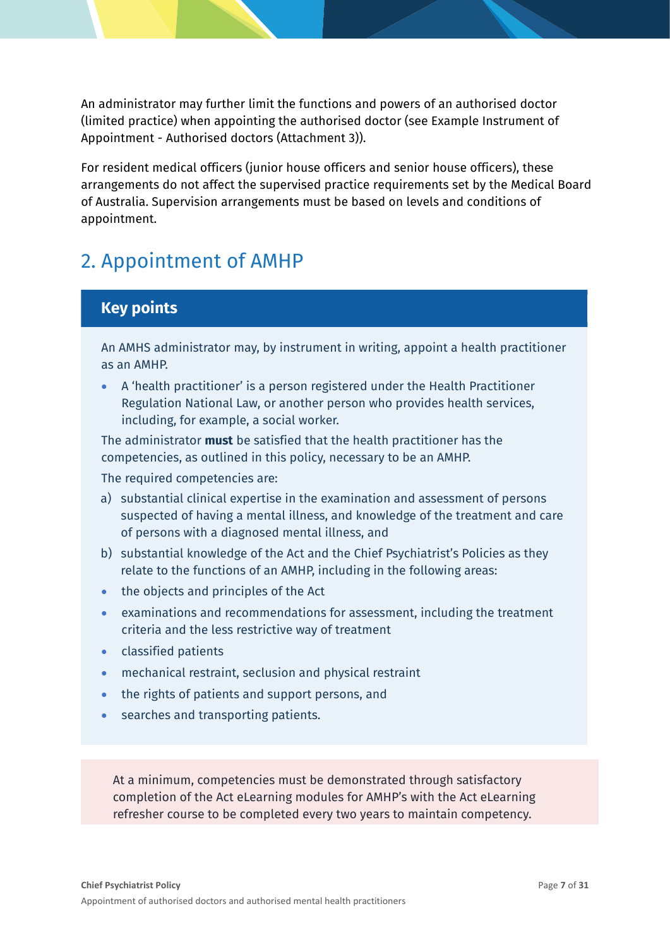An administrator may further limit the functions and powers of an authorised doctor (limited practice) when appointing the authorised doctor (see Example Instrument of Appointment - Authorised doctors (Attachment 3)).

For resident medical officers (junior house officers and senior house officers), these arrangements do not affect the supervised practice requirements set by the Medical Board of Australia. Supervision arrangements must be based on levels and conditions of appointment.

## <span id="page-6-0"></span>2. Appointment of AMHP

### **Key points**

An AMHS administrator may, by instrument in writing, appoint a health practitioner as an AMHP.

• A 'health practitioner' is a person registered under the Health Practitioner Regulation National Law, or another person who provides health services, including, for example, a social worker.

The administrator **must** be satisfied that the health practitioner has the competencies, as outlined in this policy, necessary to be an AMHP.

The required competencies are:

- a) substantial clinical expertise in the examination and assessment of persons suspected of having a mental illness, and knowledge of the treatment and care of persons with a diagnosed mental illness, and
- b) substantial knowledge of the Act and the Chief Psychiatrist's Policies as they relate to the functions of an AMHP, including in the following areas:
- the objects and principles of the Act
- examinations and recommendations for assessment, including the treatment criteria and the less restrictive way of treatment
- classified patients
- mechanical restraint, seclusion and physical restraint
- the rights of patients and support persons, and
- searches and transporting patients.

At a minimum, competencies must be demonstrated through satisfactory completion of the Act eLearning modules for AMHP's with the Act eLearning refresher course to be completed every two years to maintain competency.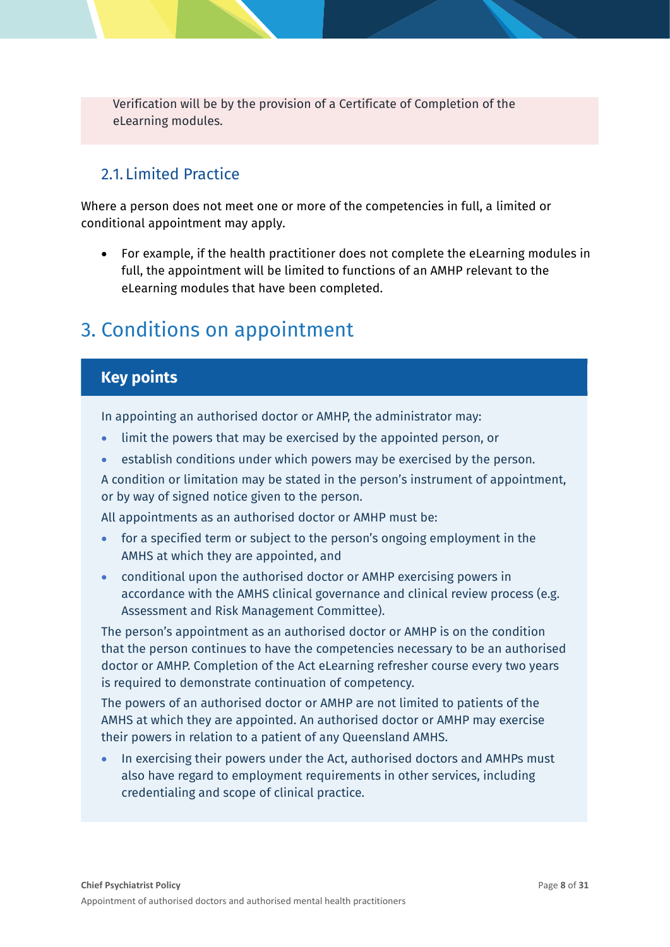Verification will be by the provision of a Certificate of Completion of the eLearning modules.

## <span id="page-7-0"></span>2.1. Limited Practice

Where a person does not meet one or more of the competencies in full, a limited or conditional appointment may apply.

• For example, if the health practitioner does not complete the eLearning modules in full, the appointment will be limited to functions of an AMHP relevant to the eLearning modules that have been completed.

## <span id="page-7-1"></span>3. Conditions on appointment

### **Key points**

In appointing an authorised doctor or AMHP, the administrator may:

- limit the powers that may be exercised by the appointed person, or
- establish conditions under which powers may be exercised by the person.

A condition or limitation may be stated in the person's instrument of appointment, or by way of signed notice given to the person.

All appointments as an authorised doctor or AMHP must be:

- for a specified term or subject to the person's ongoing employment in the AMHS at which they are appointed, and
- conditional upon the authorised doctor or AMHP exercising powers in accordance with the AMHS clinical governance and clinical review process (e.g. Assessment and Risk Management Committee).

The person's appointment as an authorised doctor or AMHP is on the condition that the person continues to have the competencies necessary to be an authorised doctor or AMHP. Completion of the Act eLearning refresher course every two years is required to demonstrate continuation of competency.

The powers of an authorised doctor or AMHP are not limited to patients of the AMHS at which they are appointed. An authorised doctor or AMHP may exercise their powers in relation to a patient of any Queensland AMHS.

In exercising their powers under the Act, authorised doctors and AMHPs must also have regard to employment requirements in other services, including credentialing and scope of clinical practice.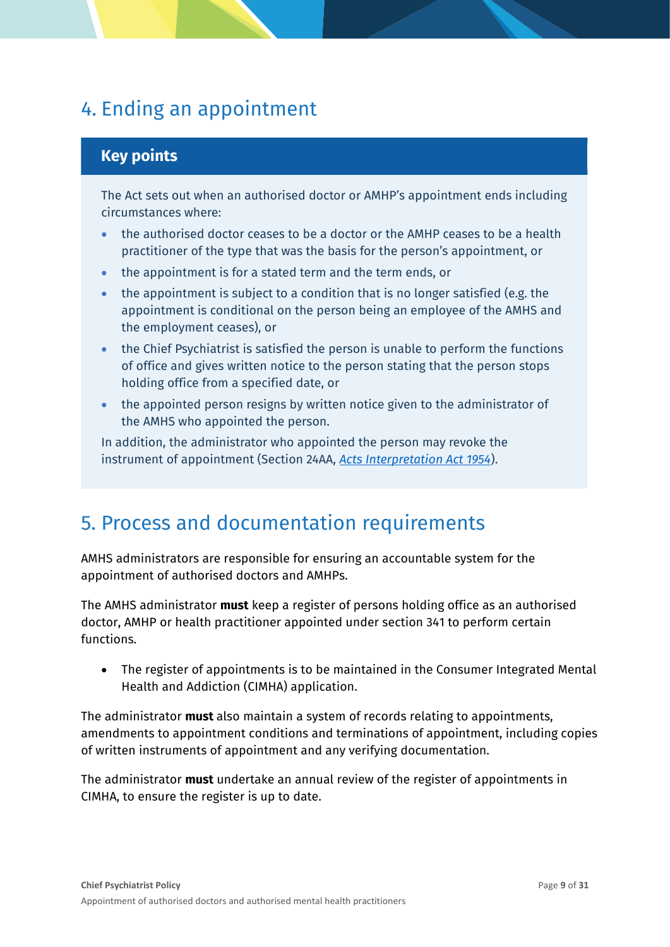## <span id="page-8-0"></span>4. Ending an appointment

## **Key points**

The Act sets out when an authorised doctor or AMHP's appointment ends including circumstances where:

- the authorised doctor ceases to be a doctor or the AMHP ceases to be a health practitioner of the type that was the basis for the person's appointment, or
- the appointment is for a stated term and the term ends, or
- the appointment is subject to a condition that is no longer satisfied (e.g. the appointment is conditional on the person being an employee of the AMHS and the employment ceases), or
- the Chief Psychiatrist is satisfied the person is unable to perform the functions of office and gives written notice to the person stating that the person stops holding office from a specified date, or
- the appointed person resigns by written notice given to the administrator of the AMHS who appointed the person.

In addition, the administrator who appointed the person may revoke the instrument of appointment (Section 24AA, *[Acts Interpretation Act 1954](https://www.legislation.qld.gov.au/view/html/inforce/current/act-1954-003)*).

## <span id="page-8-1"></span>5. Process and documentation requirements

AMHS administrators are responsible for ensuring an accountable system for the appointment of authorised doctors and AMHPs.

The AMHS administrator **must** keep a register of persons holding office as an authorised doctor, AMHP or health practitioner appointed under section 341 to perform certain functions.

• The register of appointments is to be maintained in the Consumer Integrated Mental Health and Addiction (CIMHA) application.

The administrator **must** also maintain a system of records relating to appointments, amendments to appointment conditions and terminations of appointment, including copies of written instruments of appointment and any verifying documentation.

The administrator **must** undertake an annual review of the register of appointments in CIMHA, to ensure the register is up to date.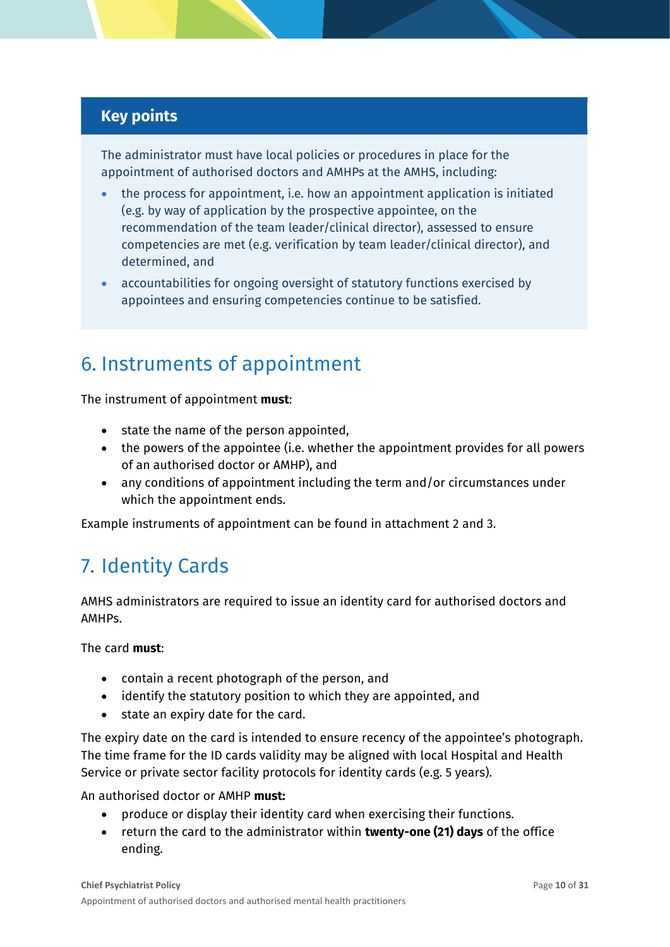## **Key points**

The administrator must have local policies or procedures in place for the appointment of authorised doctors and AMHPs at the AMHS, including:

- the process for appointment, i.e. how an appointment application is initiated (e.g. by way of application by the prospective appointee, on the recommendation of the team leader/clinical director), assessed to ensure competencies are met (e.g. verification by team leader/clinical director), and determined, and
- accountabilities for ongoing oversight of statutory functions exercised by appointees and ensuring competencies continue to be satisfied.

## <span id="page-9-0"></span>6. Instruments of appointment

The instrument of appointment **must**:

- state the name of the person appointed,
- the powers of the appointee (i.e. whether the appointment provides for all powers of an authorised doctor or AMHP), and
- any conditions of appointment including the term and/or circumstances under which the appointment ends.

Example instruments of appointment can be found in attachment 2 and 3.

## <span id="page-9-1"></span>7. Identity Cards

AMHS administrators are required to issue an identity card for authorised doctors and AMHPs.

The card **must**:

- contain a recent photograph of the person, and
- identify the statutory position to which they are appointed, and
- state an expiry date for the card.

The expiry date on the card is intended to ensure recency of the appointee's photograph. The time frame for the ID cards validity may be aligned with local Hospital and Health Service or private sector facility protocols for identity cards (e.g. 5 years).

An authorised doctor or AMHP **must:**

- produce or display their identity card when exercising their functions.
- return the card to the administrator within **twenty-one (21) days** of the office ending.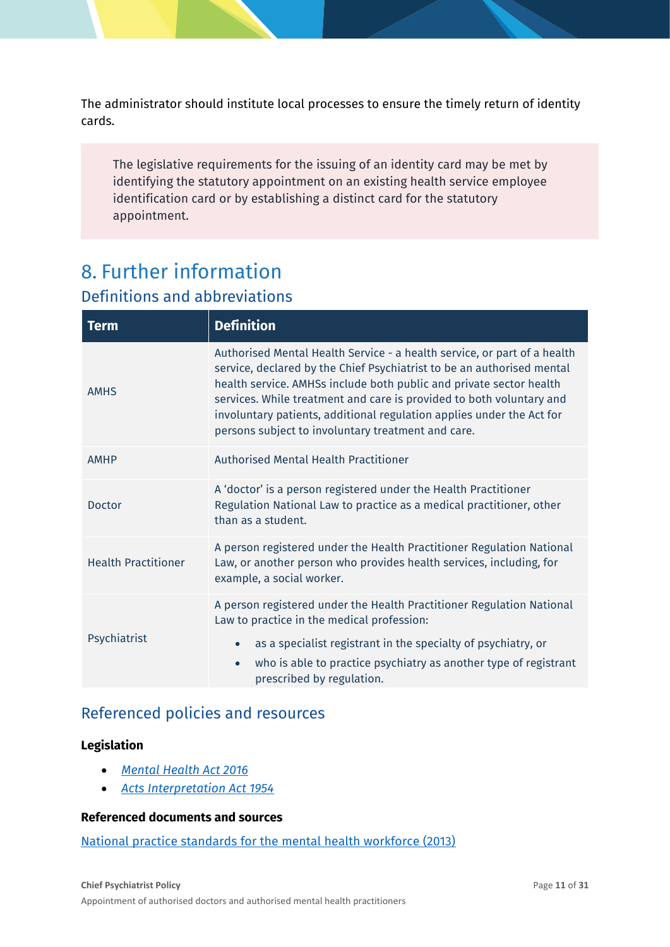The administrator should institute local processes to ensure the timely return of identity cards.

The legislative requirements for the issuing of an identity card may be met by identifying the statutory appointment on an existing health service employee identification card or by establishing a distinct card for the statutory appointment.

## <span id="page-10-0"></span>8. Further information

## <span id="page-10-1"></span>Definitions and abbreviations

| <b>Term</b>                | <b>Definition</b>                                                                                                                                                                                                                                                                                                                                                                                                                |  |
|----------------------------|----------------------------------------------------------------------------------------------------------------------------------------------------------------------------------------------------------------------------------------------------------------------------------------------------------------------------------------------------------------------------------------------------------------------------------|--|
| <b>AMHS</b>                | Authorised Mental Health Service - a health service, or part of a health<br>service, declared by the Chief Psychiatrist to be an authorised mental<br>health service. AMHSs include both public and private sector health<br>services. While treatment and care is provided to both voluntary and<br>involuntary patients, additional regulation applies under the Act for<br>persons subject to involuntary treatment and care. |  |
| <b>AMHP</b>                | <b>Authorised Mental Health Practitioner</b>                                                                                                                                                                                                                                                                                                                                                                                     |  |
| <b>Doctor</b>              | A 'doctor' is a person registered under the Health Practitioner<br>Regulation National Law to practice as a medical practitioner, other<br>than as a student.                                                                                                                                                                                                                                                                    |  |
| <b>Health Practitioner</b> | A person registered under the Health Practitioner Regulation National<br>Law, or another person who provides health services, including, for<br>example, a social worker.                                                                                                                                                                                                                                                        |  |
|                            | A person registered under the Health Practitioner Regulation National<br>Law to practice in the medical profession:                                                                                                                                                                                                                                                                                                              |  |
| Psychiatrist               | as a specialist registrant in the specialty of psychiatry, or                                                                                                                                                                                                                                                                                                                                                                    |  |
|                            | who is able to practice psychiatry as another type of registrant<br>$\bullet$<br>prescribed by regulation.                                                                                                                                                                                                                                                                                                                       |  |

## <span id="page-10-2"></span>Referenced policies and resources

#### **Legislation**

- *[Mental Health Act 2016](https://www.legislation.qld.gov.au/view/html/inforce/current/act-2016-005)*
- *[Acts Interpretation Act 1954](https://www.legislation.qld.gov.au/view/html/inforce/current/act-1954-003)*

#### **Referenced documents and sources**

[National practice standards for the mental health workforce \(2013\)](https://www.health.gov.au/resources/publications/national-practice-standards-for-the-mental-health-workforce-2013)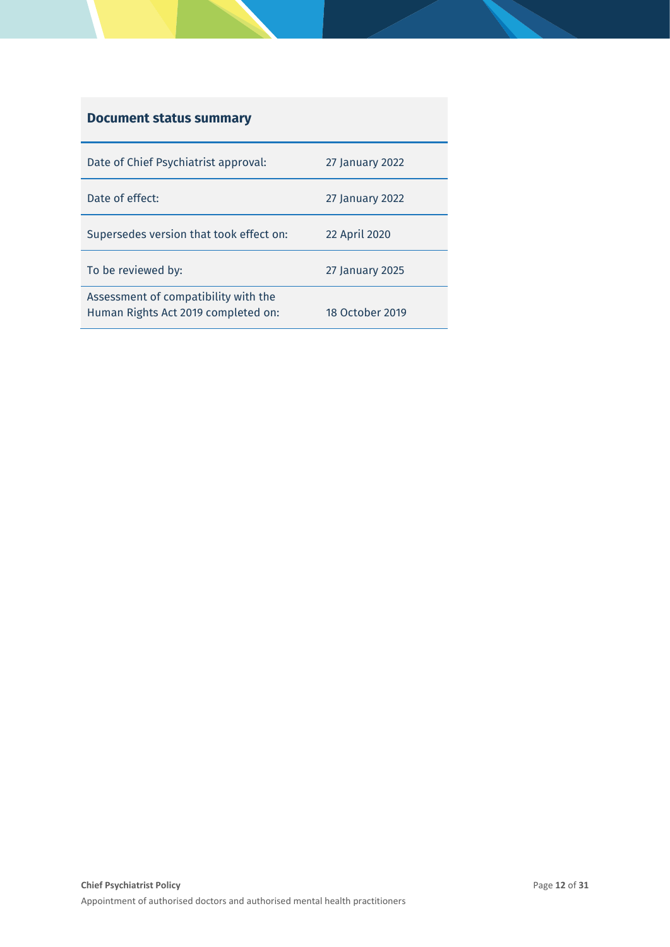## **Document status summary**

| Date of Chief Psychiatrist approval:                                        | 27 January 2022 |
|-----------------------------------------------------------------------------|-----------------|
| Date of effect:                                                             | 27 January 2022 |
| Supersedes version that took effect on:                                     | 22 April 2020   |
| To be reviewed by:                                                          | 27 January 2025 |
| Assessment of compatibility with the<br>Human Rights Act 2019 completed on: | 18 October 2019 |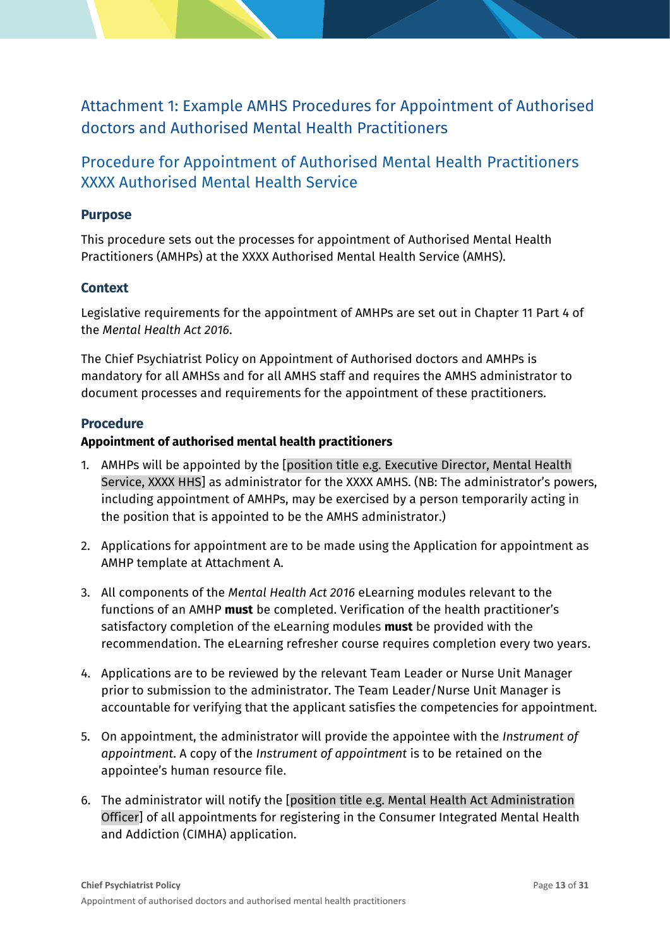<span id="page-12-0"></span>Attachment 1: Example AMHS Procedures for Appointment of Authorised doctors and Authorised Mental Health Practitioners

## Procedure for Appointment of Authorised Mental Health Practitioners XXXX Authorised Mental Health Service

#### **Purpose**

This procedure sets out the processes for appointment of Authorised Mental Health Practitioners (AMHPs) at the XXXX Authorised Mental Health Service (AMHS).

#### **Context**

Legislative requirements for the appointment of AMHPs are set out in Chapter 11 Part 4 of the *Mental Health Act 2016*.

The Chief Psychiatrist Policy on Appointment of Authorised doctors and AMHPs is mandatory for all AMHSs and for all AMHS staff and requires the AMHS administrator to document processes and requirements for the appointment of these practitioners.

#### **Procedure**

#### **Appointment of authorised mental health practitioners**

- 1. AMHPs will be appointed by the [position title e.g. Executive Director, Mental Health Service, XXXX HHS] as administrator for the XXXX AMHS. (NB: The administrator's powers, including appointment of AMHPs, may be exercised by a person temporarily acting in the position that is appointed to be the AMHS administrator.)
- 2. Applications for appointment are to be made using the Application for appointment as AMHP template at Attachment A.
- 3. All components of the *Mental Health Act 2016* eLearning modules relevant to the functions of an AMHP **must** be completed. Verification of the health practitioner's satisfactory completion of the eLearning modules **must** be provided with the recommendation. The eLearning refresher course requires completion every two years.
- 4. Applications are to be reviewed by the relevant Team Leader or Nurse Unit Manager prior to submission to the administrator. The Team Leader/Nurse Unit Manager is accountable for verifying that the applicant satisfies the competencies for appointment.
- 5. On appointment, the administrator will provide the appointee with the *Instrument of appointment*. A copy of the *Instrument of appointment* is to be retained on the appointee's human resource file.
- 6. The administrator will notify the [position title e.g. Mental Health Act Administration Officer] of all appointments for registering in the Consumer Integrated Mental Health and Addiction (CIMHA) application.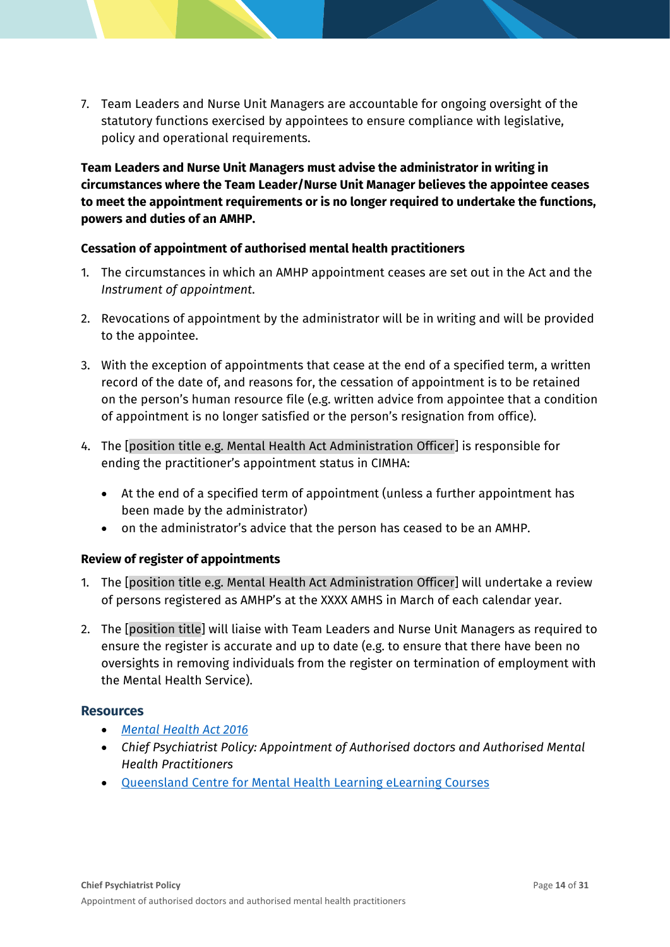7. Team Leaders and Nurse Unit Managers are accountable for ongoing oversight of the statutory functions exercised by appointees to ensure compliance with legislative, policy and operational requirements.

**Team Leaders and Nurse Unit Managers must advise the administrator in writing in circumstances where the Team Leader/Nurse Unit Manager believes the appointee ceases to meet the appointment requirements or is no longer required to undertake the functions, powers and duties of an AMHP.**

#### **Cessation of appointment of authorised mental health practitioners**

- 1. The circumstances in which an AMHP appointment ceases are set out in the Act and the *Instrument of appointment*.
- 2. Revocations of appointment by the administrator will be in writing and will be provided to the appointee.
- 3. With the exception of appointments that cease at the end of a specified term, a written record of the date of, and reasons for, the cessation of appointment is to be retained on the person's human resource file (e.g. written advice from appointee that a condition of appointment is no longer satisfied or the person's resignation from office).
- 4. The [position title e.g. Mental Health Act Administration Officer] is responsible for ending the practitioner's appointment status in CIMHA:
	- At the end of a specified term of appointment (unless a further appointment has been made by the administrator)
	- on the administrator's advice that the person has ceased to be an AMHP.

#### **Review of register of appointments**

- 1. The [position title e.g. Mental Health Act Administration Officer] will undertake a review of persons registered as AMHP's at the XXXX AMHS in March of each calendar year.
- 2. The [position title] will liaise with Team Leaders and Nurse Unit Managers as required to ensure the register is accurate and up to date (e.g. to ensure that there have been no oversights in removing individuals from the register on termination of employment with the Mental Health Service).

#### **Resources**

- *[Mental Health Act 2016](https://www.legislation.qld.gov.au/view/html/inforce/current/act-2016-005)*
- *Chief Psychiatrist Policy: Appointment of Authorised doctors and Authorised Mental Health Practitioners*
- [Queensland Centre for Mental Health Learning eLearning Courses](https://www.qcmhl.qld.edu.au/course/index.php?categoryid=2)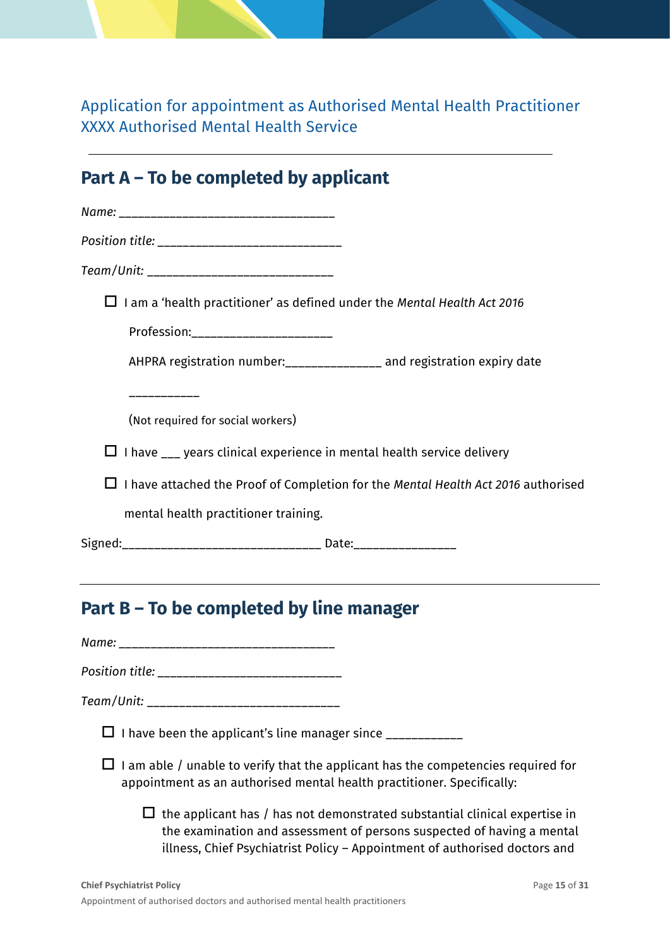Application for appointment as Authorised Mental Health Practitioner XXXX Authorised Mental Health Service

## **Part A – To be completed by applicant**

|            | Position title: ______________________________                                                                                                              |
|------------|-------------------------------------------------------------------------------------------------------------------------------------------------------------|
|            | Team/Unit: _________________________________                                                                                                                |
|            | $\Box$ I am a 'health practitioner' as defined under the Mental Health Act 2016                                                                             |
|            | Profession:________________________                                                                                                                         |
|            | AHPRA registration number:_______________ and registration expiry date                                                                                      |
|            | __________<br>(Not required for social workers)                                                                                                             |
|            | $\Box$ I have $\Box$ years clinical experience in mental health service delivery                                                                            |
|            | $\Box$ I have attached the Proof of Completion for the Mental Health Act 2016 authorised                                                                    |
|            | mental health practitioner training.                                                                                                                        |
|            | Signed:________________________________ Date:___________________________________                                                                            |
|            | the contract of the contract of the contract of the contract of the contract of the contract of the contract of<br>Part B – To be completed by line manager |
|            |                                                                                                                                                             |
|            |                                                                                                                                                             |
| Team/Unit: |                                                                                                                                                             |
|            | $\Box$ I have been the applicant's line manager since ___________                                                                                           |
|            | I am able / unable to verify that the applicant has the competencies required for<br>appointment as an authorised mental health practitioner. Specifically: |

 $\Box$  the applicant has / has not demonstrated substantial clinical expertise in the examination and assessment of persons suspected of having a mental illness, Chief Psychiatrist Policy – Appointment of authorised doctors and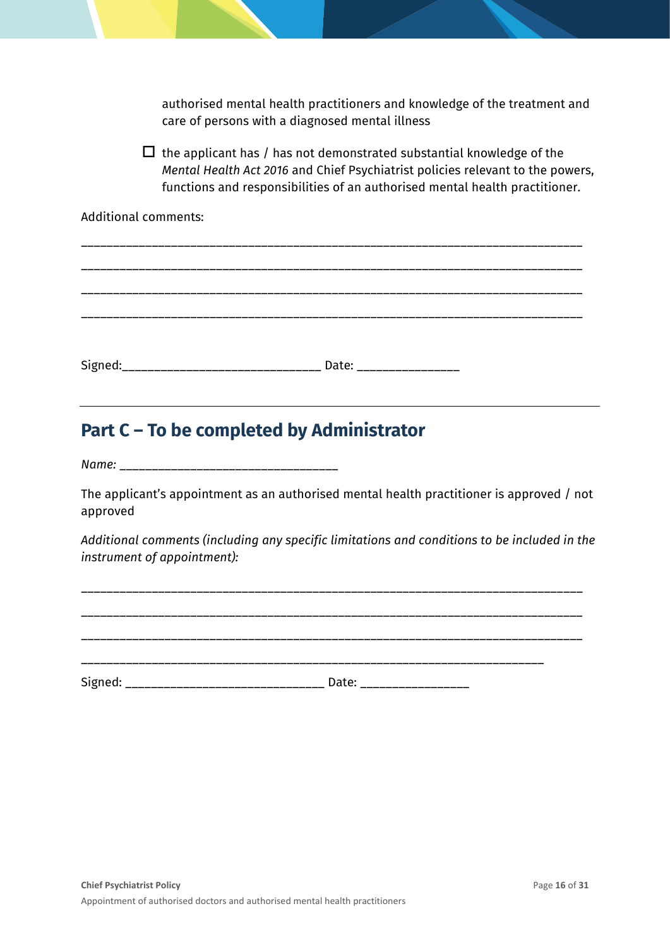authorised mental health practitioners and knowledge of the treatment and care of persons with a diagnosed mental illness

 $\Box$  the applicant has / has not demonstrated substantial knowledge of the *Mental Health Act 2016* and Chief Psychiatrist policies relevant to the powers, functions and responsibilities of an authorised mental health practitioner.

Additional comments:

\_\_\_\_\_\_\_\_\_\_\_\_\_\_\_\_\_\_\_\_\_\_\_\_\_\_\_\_\_\_\_\_\_\_\_\_\_\_\_\_\_\_\_\_\_\_\_\_\_\_\_\_\_\_\_\_\_\_\_\_\_\_\_\_\_\_\_\_\_\_\_\_\_\_\_\_\_\_ \_\_\_\_\_\_\_\_\_\_\_\_\_\_\_\_\_\_\_\_\_\_\_\_\_\_\_\_\_\_\_\_\_\_\_\_\_\_\_\_\_\_\_\_\_\_\_\_\_\_\_\_\_\_\_\_\_\_\_\_\_\_\_\_\_\_\_\_\_\_\_\_\_\_\_\_\_\_ \_\_\_\_\_\_\_\_\_\_\_\_\_\_\_\_\_\_\_\_\_\_\_\_\_\_\_\_\_\_\_\_\_\_\_\_\_\_\_\_\_\_\_\_\_\_\_\_\_\_\_\_\_\_\_\_\_\_\_\_\_\_\_\_\_\_\_\_\_\_\_\_\_\_\_\_\_\_ \_\_\_\_\_\_\_\_\_\_\_\_\_\_\_\_\_\_\_\_\_\_\_\_\_\_\_\_\_\_\_\_\_\_\_\_\_\_\_\_\_\_\_\_\_\_\_\_\_\_\_\_\_\_\_\_\_\_\_\_\_\_\_\_\_\_\_\_\_\_\_\_\_\_\_\_\_\_ Signed:\_\_\_\_\_\_\_\_\_\_\_\_\_\_\_\_\_\_\_\_\_\_\_\_\_\_\_\_\_\_\_\_\_\_ Date: \_\_\_\_\_\_\_\_\_\_\_\_\_\_\_\_\_\_\_\_\_\_\_\_\_\_\_\_\_\_\_\_\_

## **Part C – To be completed by Administrator**

*Name:* \_\_\_\_\_\_\_\_\_\_\_\_\_\_\_\_\_\_\_\_\_\_\_\_\_\_\_\_\_\_\_\_\_\_

The applicant's appointment as an authorised mental health practitioner is approved / not approved

*Additional comments (including any specific limitations and conditions to be included in the instrument of appointment):*

\_\_\_\_\_\_\_\_\_\_\_\_\_\_\_\_\_\_\_\_\_\_\_\_\_\_\_\_\_\_\_\_\_\_\_\_\_\_\_\_\_\_\_\_\_\_\_\_\_\_\_\_\_\_\_\_\_\_\_\_\_\_\_\_\_\_\_\_\_\_\_\_\_\_\_\_\_\_ \_\_\_\_\_\_\_\_\_\_\_\_\_\_\_\_\_\_\_\_\_\_\_\_\_\_\_\_\_\_\_\_\_\_\_\_\_\_\_\_\_\_\_\_\_\_\_\_\_\_\_\_\_\_\_\_\_\_\_\_\_\_\_\_\_\_\_\_\_\_\_\_\_\_\_\_\_\_ \_\_\_\_\_\_\_\_\_\_\_\_\_\_\_\_\_\_\_\_\_\_\_\_\_\_\_\_\_\_\_\_\_\_\_\_\_\_\_\_\_\_\_\_\_\_\_\_\_\_\_\_\_\_\_\_\_\_\_\_\_\_\_\_\_\_\_\_\_\_\_\_ Signed: \_\_\_\_\_\_\_\_\_\_\_\_\_\_\_\_\_\_\_\_\_\_\_\_\_\_\_\_\_\_\_ Date: \_\_\_\_\_\_\_\_\_\_\_\_\_\_\_\_\_

\_\_\_\_\_\_\_\_\_\_\_\_\_\_\_\_\_\_\_\_\_\_\_\_\_\_\_\_\_\_\_\_\_\_\_\_\_\_\_\_\_\_\_\_\_\_\_\_\_\_\_\_\_\_\_\_\_\_\_\_\_\_\_\_\_\_\_\_\_\_\_\_\_\_\_\_\_\_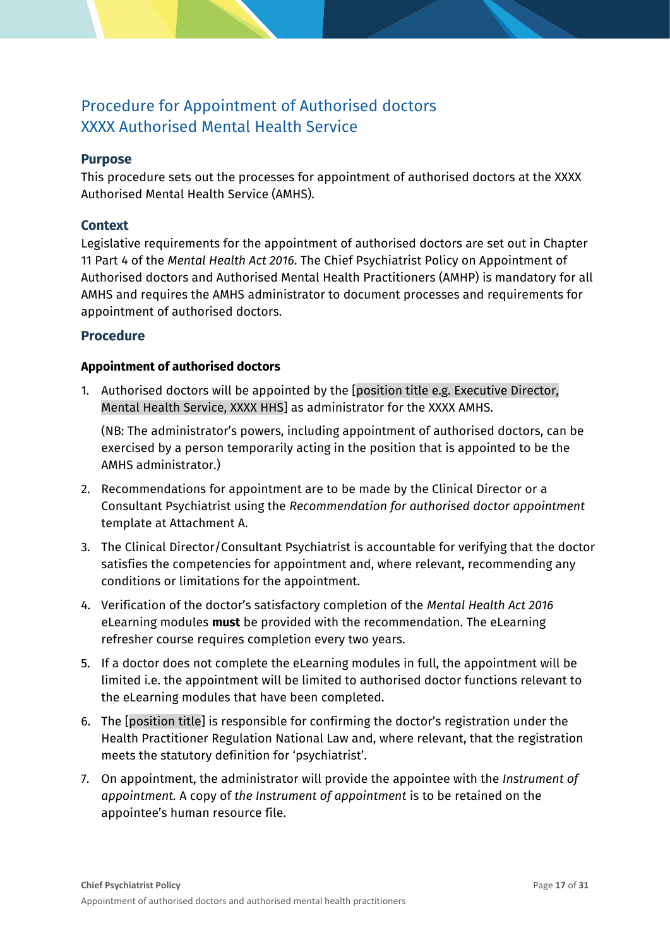## Procedure for Appointment of Authorised doctors XXXX Authorised Mental Health Service

#### **Purpose**

This procedure sets out the processes for appointment of authorised doctors at the XXXX Authorised Mental Health Service (AMHS).

#### **Context**

Legislative requirements for the appointment of authorised doctors are set out in Chapter 11 Part 4 of the *Mental Health Act 2016*. The Chief Psychiatrist Policy on Appointment of Authorised doctors and Authorised Mental Health Practitioners (AMHP) is mandatory for all AMHS and requires the AMHS administrator to document processes and requirements for appointment of authorised doctors.

#### **Procedure**

#### **Appointment of authorised doctors**

1. Authorised doctors will be appointed by the [position title e.g. Executive Director, Mental Health Service, XXXX HHS] as administrator for the XXXX AMHS.

(NB: The administrator's powers, including appointment of authorised doctors, can be exercised by a person temporarily acting in the position that is appointed to be the AMHS administrator.)

- 2. Recommendations for appointment are to be made by the Clinical Director or a Consultant Psychiatrist using the *Recommendation for authorised doctor appointment* template at Attachment A.
- 3. The Clinical Director/Consultant Psychiatrist is accountable for verifying that the doctor satisfies the competencies for appointment and, where relevant, recommending any conditions or limitations for the appointment.
- 4. Verification of the doctor's satisfactory completion of the *Mental Health Act 2016* eLearning modules **must** be provided with the recommendation. The eLearning refresher course requires completion every two years.
- 5. If a doctor does not complete the eLearning modules in full, the appointment will be limited i.e. the appointment will be limited to authorised doctor functions relevant to the eLearning modules that have been completed.
- 6. The [position title] is responsible for confirming the doctor's registration under the Health Practitioner Regulation National Law and, where relevant, that the registration meets the statutory definition for 'psychiatrist'.
- 7. On appointment, the administrator will provide the appointee with the *Instrument of appointment.* A copy of *the Instrument of appointment* is to be retained on the appointee's human resource file.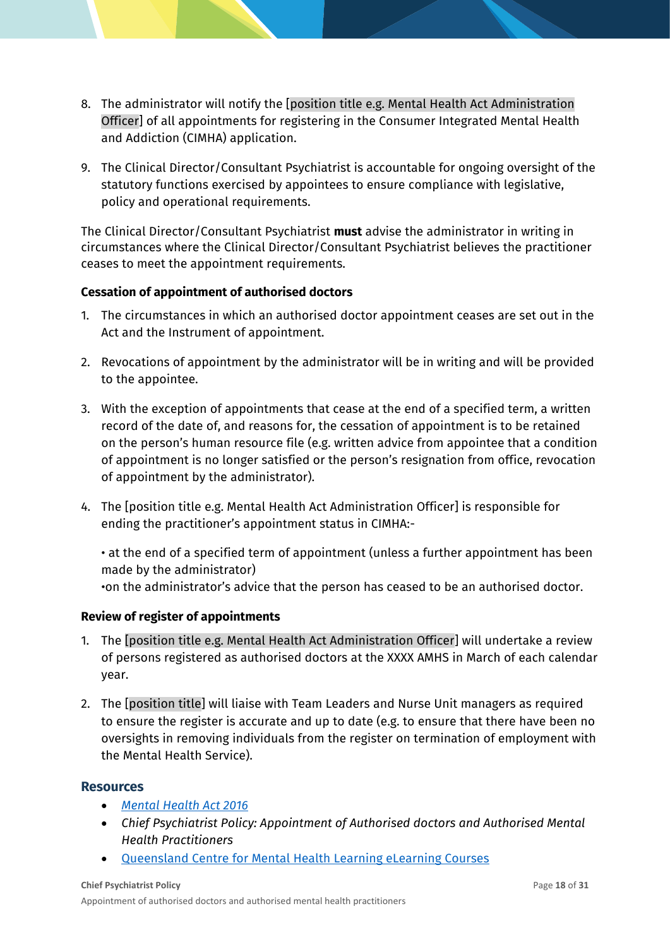- 8. The administrator will notify the [position title e.g. Mental Health Act Administration Officer] of all appointments for registering in the Consumer Integrated Mental Health and Addiction (CIMHA) application.
- 9. The Clinical Director/Consultant Psychiatrist is accountable for ongoing oversight of the statutory functions exercised by appointees to ensure compliance with legislative, policy and operational requirements.

The Clinical Director/Consultant Psychiatrist **must** advise the administrator in writing in circumstances where the Clinical Director/Consultant Psychiatrist believes the practitioner ceases to meet the appointment requirements.

#### **Cessation of appointment of authorised doctors**

- 1. The circumstances in which an authorised doctor appointment ceases are set out in the Act and the Instrument of appointment.
- 2. Revocations of appointment by the administrator will be in writing and will be provided to the appointee.
- 3. With the exception of appointments that cease at the end of a specified term, a written record of the date of, and reasons for, the cessation of appointment is to be retained on the person's human resource file (e.g. written advice from appointee that a condition of appointment is no longer satisfied or the person's resignation from office, revocation of appointment by the administrator).
- 4. The [position title e.g. Mental Health Act Administration Officer] is responsible for ending the practitioner's appointment status in CIMHA:-

• at the end of a specified term of appointment (unless a further appointment has been made by the administrator) •on the administrator's advice that the person has ceased to be an authorised doctor.

#### **Review of register of appointments**

- 1. The [position title e.g. Mental Health Act Administration Officer] will undertake a review of persons registered as authorised doctors at the XXXX AMHS in March of each calendar year.
- 2. The [position title] will liaise with Team Leaders and Nurse Unit managers as required to ensure the register is accurate and up to date (e.g. to ensure that there have been no oversights in removing individuals from the register on termination of employment with the Mental Health Service).

#### **Resources**

- *[Mental Health Act 2016](https://www.legislation.qld.gov.au/view/html/inforce/current/act-2016-005)*
- *Chief Psychiatrist Policy: Appointment of Authorised doctors and Authorised Mental Health Practitioners*
- [Queensland Centre for Mental Health Learning eLearning Courses](https://www.qcmhl.qld.edu.au/course/index.php?categoryid=2)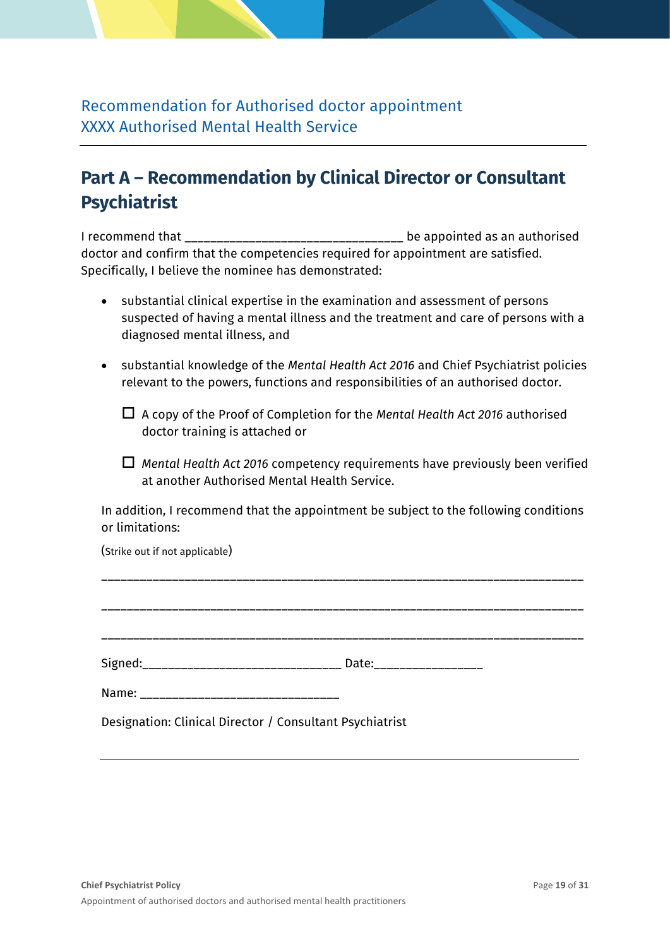Recommendation for Authorised doctor appointment XXXX Authorised Mental Health Service

## **Part A – Recommendation by Clinical Director or Consultant Psychiatrist**

I recommend that \_\_\_\_\_\_\_\_\_\_\_\_\_\_\_\_\_\_\_\_\_\_\_\_\_\_\_\_\_\_\_\_\_\_ be appointed as an authorised doctor and confirm that the competencies required for appointment are satisfied. Specifically, I believe the nominee has demonstrated:

- substantial clinical expertise in the examination and assessment of persons suspected of having a mental illness and the treatment and care of persons with a diagnosed mental illness, and
- substantial knowledge of the *Mental Health Act 2016* and Chief Psychiatrist policies relevant to the powers, functions and responsibilities of an authorised doctor.
	- A copy of the Proof of Completion for the *Mental Health Act 2016* authorised doctor training is attached or
	- *Mental Health Act 2016* competency requirements have previously been verified at another Authorised Mental Health Service.

In addition, I recommend that the appointment be subject to the following conditions or limitations:

(Strike out if not applicable)

|                                                                                                                                                                                                                                | Date: _________________ |
|--------------------------------------------------------------------------------------------------------------------------------------------------------------------------------------------------------------------------------|-------------------------|
| Name: Name and the second state of the second state of the second state of the second state of the second state of the second state of the second state of the second state of the second state of the second state of the sec |                         |
| Designation: Clinical Director / Consultant Psychiatrist                                                                                                                                                                       |                         |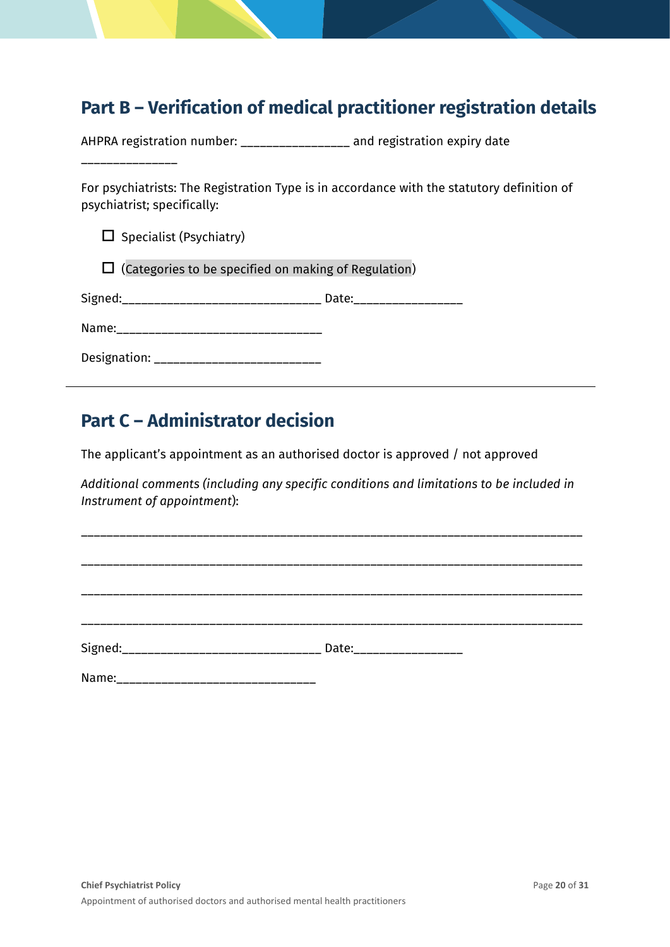## **Part B – Verification of medical practitioner registration details**

AHPRA registration number: \_\_\_\_\_\_\_\_\_\_\_\_\_\_\_\_\_ and registration expiry date

\_\_\_\_\_\_\_\_\_\_\_\_\_\_\_

j

For psychiatrists: The Registration Type is in accordance with the statutory definition of psychiatrist; specifically:

 $\square$  Specialist (Psychiatry)

 $\Box$  (Categories to be specified on making of Regulation)

Signed:\_\_\_\_\_\_\_\_\_\_\_\_\_\_\_\_\_\_\_\_\_\_\_\_\_\_\_\_\_\_\_ Date:\_\_\_\_\_\_\_\_\_\_\_\_\_\_\_\_\_

| Designation: |  |
|--------------|--|
|--------------|--|

## **Part C – Administrator decision**

The applicant's appointment as an authorised doctor is approved / not approved

*Additional comments (including any specific conditions and limitations to be included in Instrument of appointment*):

\_\_\_\_\_\_\_\_\_\_\_\_\_\_\_\_\_\_\_\_\_\_\_\_\_\_\_\_\_\_\_\_\_\_\_\_\_\_\_\_\_\_\_\_\_\_\_\_\_\_\_\_\_\_\_\_\_\_\_\_\_\_\_\_\_\_\_\_\_\_\_\_\_\_\_\_\_\_

\_\_\_\_\_\_\_\_\_\_\_\_\_\_\_\_\_\_\_\_\_\_\_\_\_\_\_\_\_\_\_\_\_\_\_\_\_\_\_\_\_\_\_\_\_\_\_\_\_\_\_\_\_\_\_\_\_\_\_\_\_\_\_\_\_\_\_\_\_\_\_\_\_\_\_\_\_\_

\_\_\_\_\_\_\_\_\_\_\_\_\_\_\_\_\_\_\_\_\_\_\_\_\_\_\_\_\_\_\_\_\_\_\_\_\_\_\_\_\_\_\_\_\_\_\_\_\_\_\_\_\_\_\_\_\_\_\_\_\_\_\_\_\_\_\_\_\_\_\_\_\_\_\_\_\_\_ \_\_\_\_\_\_\_\_\_\_\_\_\_\_\_\_\_\_\_\_\_\_\_\_\_\_\_\_\_\_\_\_\_\_\_\_\_\_\_\_\_\_\_\_\_\_\_\_\_\_\_\_\_\_\_\_\_\_\_\_\_\_\_\_\_\_\_\_\_\_\_\_\_\_\_\_\_\_

Signed:\_\_\_\_\_\_\_\_\_\_\_\_\_\_\_\_\_\_\_\_\_\_\_\_\_\_\_\_\_\_\_ Date:\_\_\_\_\_\_\_\_\_\_\_\_\_\_\_\_\_

Name: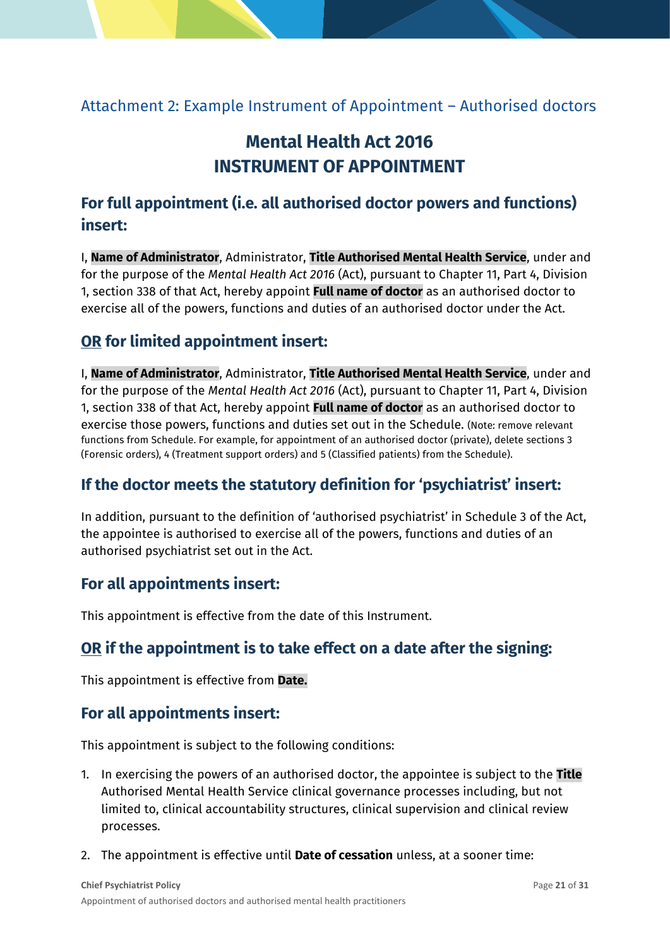### <span id="page-20-0"></span>Attachment 2: Example Instrument of Appointment – Authorised doctors

## **Mental Health Act 2016 INSTRUMENT OF APPOINTMENT**

## **For full appointment (i.e. all authorised doctor powers and functions) insert:**

I, **Name of Administrator**, Administrator, **Title Authorised Mental Health Service**, under and for the purpose of the *Mental Health Act 2016* (Act), pursuant to Chapter 11, Part 4, Division 1, section 338 of that Act, hereby appoint **Full name of doctor** as an authorised doctor to exercise all of the powers, functions and duties of an authorised doctor under the Act.

### **OR for limited appointment insert:**

I, **Name of Administrator**, Administrator, **Title Authorised Mental Health Service**, under and for the purpose of the *Mental Health Act 2016* (Act), pursuant to Chapter 11, Part 4, Division 1, section 338 of that Act, hereby appoint **Full name of doctor** as an authorised doctor to exercise those powers, functions and duties set out in the Schedule. (Note: remove relevant functions from Schedule. For example, for appointment of an authorised doctor (private), delete sections 3 (Forensic orders), 4 (Treatment support orders) and 5 (Classified patients) from the Schedule).

### **If the doctor meets the statutory definition for 'psychiatrist' insert:**

In addition, pursuant to the definition of 'authorised psychiatrist' in Schedule 3 of the Act, the appointee is authorised to exercise all of the powers, functions and duties of an authorised psychiatrist set out in the Act.

### **For all appointments insert:**

This appointment is effective from the date of this Instrument.

### **OR if the appointment is to take effect on a date after the signing:**

This appointment is effective from **Date.**

### **For all appointments insert:**

This appointment is subject to the following conditions:

- 1. In exercising the powers of an authorised doctor, the appointee is subject to the **Title** Authorised Mental Health Service clinical governance processes including, but not limited to, clinical accountability structures, clinical supervision and clinical review processes.
- 2. The appointment is effective until **Date of cessation** unless, at a sooner time: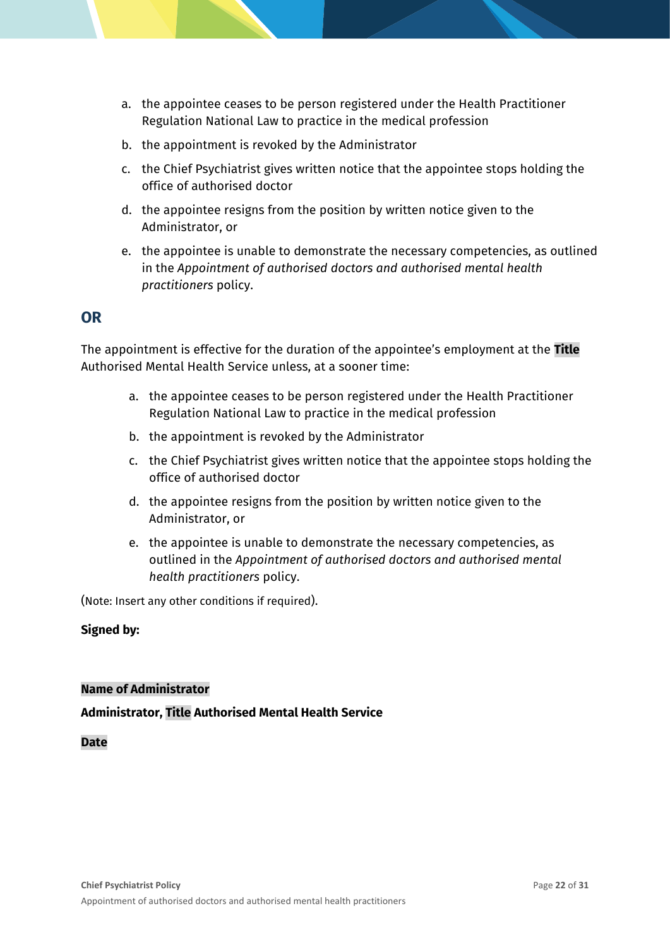- a. the appointee ceases to be person registered under the Health Practitioner Regulation National Law to practice in the medical profession
- b. the appointment is revoked by the Administrator
- c. the Chief Psychiatrist gives written notice that the appointee stops holding the office of authorised doctor
- d. the appointee resigns from the position by written notice given to the Administrator, or
- e. the appointee is unable to demonstrate the necessary competencies, as outlined in the *Appointment of authorised doctors and authorised mental health practitioners* policy.

#### **OR**

The appointment is effective for the duration of the appointee's employment at the **Title** Authorised Mental Health Service unless, at a sooner time:

- a. the appointee ceases to be person registered under the Health Practitioner Regulation National Law to practice in the medical profession
- b. the appointment is revoked by the Administrator
- c. the Chief Psychiatrist gives written notice that the appointee stops holding the office of authorised doctor
- d. the appointee resigns from the position by written notice given to the Administrator, or
- e. the appointee is unable to demonstrate the necessary competencies, as outlined in the *Appointment of authorised doctors and authorised mental health practitioners* policy.

(Note: Insert any other conditions if required).

#### **Signed by:**

#### **Name of Administrator**

#### **Administrator, Title Authorised Mental Health Service**

**Date**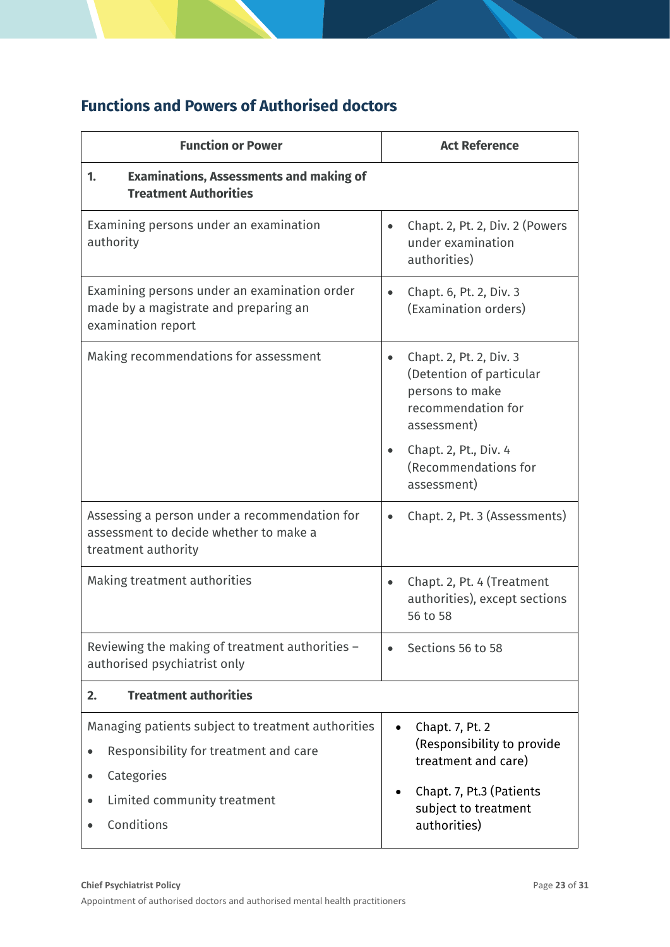## **Functions and Powers of Authorised doctors**

| <b>Function or Power</b>                                                                                               | <b>Act Reference</b>                                                                                                     |  |  |
|------------------------------------------------------------------------------------------------------------------------|--------------------------------------------------------------------------------------------------------------------------|--|--|
| <b>Examinations, Assessments and making of</b><br>1.<br><b>Treatment Authorities</b>                                   |                                                                                                                          |  |  |
| Examining persons under an examination<br>authority                                                                    | Chapt. 2, Pt. 2, Div. 2 (Powers<br>$\bullet$<br>under examination<br>authorities)                                        |  |  |
| Examining persons under an examination order<br>made by a magistrate and preparing an<br>examination report            | Chapt. 6, Pt. 2, Div. 3<br>$\bullet$<br>(Examination orders)                                                             |  |  |
| Making recommendations for assessment                                                                                  | Chapt. 2, Pt. 2, Div. 3<br>$\bullet$<br>(Detention of particular<br>persons to make<br>recommendation for<br>assessment) |  |  |
|                                                                                                                        | Chapt. 2, Pt., Div. 4<br>(Recommendations for<br>assessment)                                                             |  |  |
| Assessing a person under a recommendation for<br>assessment to decide whether to make a<br>treatment authority         | Chapt. 2, Pt. 3 (Assessments)<br>$\bullet$                                                                               |  |  |
| Making treatment authorities                                                                                           | Chapt. 2, Pt. 4 (Treatment<br>authorities), except sections<br>56 to 58                                                  |  |  |
| Reviewing the making of treatment authorities -<br>authorised psychiatrist only                                        | Sections 56 to 58                                                                                                        |  |  |
| <b>Treatment authorities</b><br>2.                                                                                     |                                                                                                                          |  |  |
| Managing patients subject to treatment authorities<br>Responsibility for treatment and care<br>Categories<br>$\bullet$ | Chapt. 7, Pt. 2<br>(Responsibility to provide<br>treatment and care)                                                     |  |  |
| Limited community treatment<br>Conditions                                                                              | Chapt. 7, Pt.3 (Patients<br>subject to treatment<br>authorities)                                                         |  |  |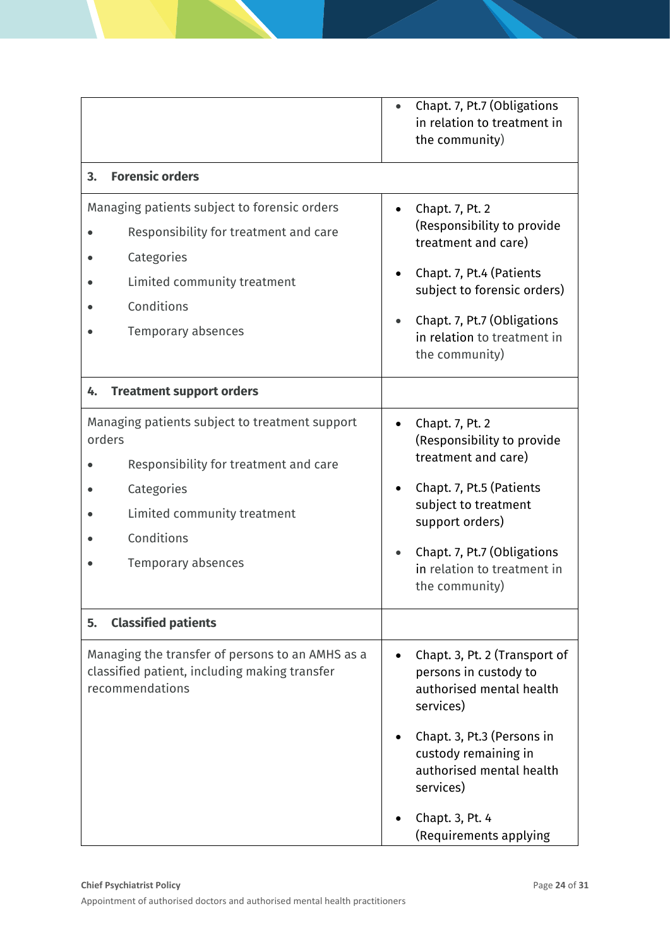|                                                                                                                                                                                    | Chapt. 7, Pt.7 (Obligations<br>in relation to treatment in<br>the community)                                                                                                                                                 |
|------------------------------------------------------------------------------------------------------------------------------------------------------------------------------------|------------------------------------------------------------------------------------------------------------------------------------------------------------------------------------------------------------------------------|
| <b>Forensic orders</b><br>3.                                                                                                                                                       |                                                                                                                                                                                                                              |
| Managing patients subject to forensic orders<br>Responsibility for treatment and care<br>Categories<br>Limited community treatment<br>Conditions<br>Temporary absences             | Chapt. 7, Pt. 2<br>$\bullet$<br>(Responsibility to provide<br>treatment and care)<br>Chapt. 7, Pt.4 (Patients<br>subject to forensic orders)<br>Chapt. 7, Pt.7 (Obligations<br>in relation to treatment in<br>the community) |
| <b>Treatment support orders</b><br>4.                                                                                                                                              |                                                                                                                                                                                                                              |
| Managing patients subject to treatment support<br>orders<br>Responsibility for treatment and care<br>Categories<br>Limited community treatment<br>Conditions<br>Temporary absences | Chapt. 7, Pt. 2<br>(Responsibility to provide<br>treatment and care)<br>Chapt. 7, Pt.5 (Patients<br>subject to treatment<br>support orders)<br>Chapt. 7, Pt.7 (Obligations<br>in relation to treatment in<br>the community)  |
| <b>Classified patients</b><br>5.                                                                                                                                                   |                                                                                                                                                                                                                              |
| Managing the transfer of persons to an AMHS as a<br>classified patient, including making transfer<br>recommendations                                                               | Chapt. 3, Pt. 2 (Transport of<br>$\bullet$<br>persons in custody to<br>authorised mental health<br>services)<br>Chapt. 3, Pt.3 (Persons in<br>custody remaining in<br>authorised mental health                               |
|                                                                                                                                                                                    | services)<br>Chapt. 3, Pt. 4<br>(Requirements applying                                                                                                                                                                       |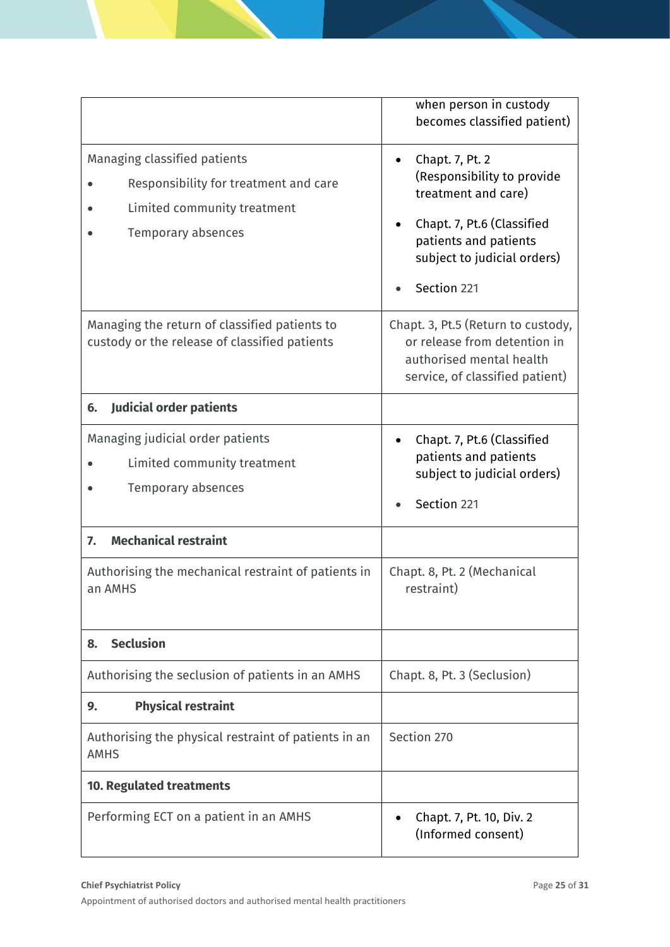|                                                                                                                            | when person in custody<br>becomes classified patient)                                                                                                                     |
|----------------------------------------------------------------------------------------------------------------------------|---------------------------------------------------------------------------------------------------------------------------------------------------------------------------|
| Managing classified patients<br>Responsibility for treatment and care<br>Limited community treatment<br>Temporary absences | Chapt. 7, Pt. 2<br>(Responsibility to provide<br>treatment and care)<br>Chapt. 7, Pt.6 (Classified<br>patients and patients<br>subject to judicial orders)<br>Section 221 |
| Managing the return of classified patients to<br>custody or the release of classified patients                             | Chapt. 3, Pt.5 (Return to custody,<br>or release from detention in<br>authorised mental health<br>service, of classified patient)                                         |
| <b>Judicial order patients</b><br>6.                                                                                       |                                                                                                                                                                           |
| Managing judicial order patients<br>Limited community treatment<br>Temporary absences                                      | Chapt. 7, Pt.6 (Classified<br>patients and patients<br>subject to judicial orders)<br>Section 221                                                                         |
| <b>Mechanical restraint</b><br>7.                                                                                          |                                                                                                                                                                           |
| Authorising the mechanical restraint of patients in<br>an AMHS                                                             | Chapt. 8, Pt. 2 (Mechanical<br>restraint)                                                                                                                                 |
| <b>Seclusion</b><br>8.                                                                                                     |                                                                                                                                                                           |
| Authorising the seclusion of patients in an AMHS                                                                           | Chapt. 8, Pt. 3 (Seclusion)                                                                                                                                               |
| <b>Physical restraint</b><br>9.                                                                                            |                                                                                                                                                                           |
| Authorising the physical restraint of patients in an<br><b>AMHS</b>                                                        | Section 270                                                                                                                                                               |
| <b>10. Regulated treatments</b>                                                                                            |                                                                                                                                                                           |
| Performing ECT on a patient in an AMHS                                                                                     | Chapt. 7, Pt. 10, Div. 2<br>(Informed consent)                                                                                                                            |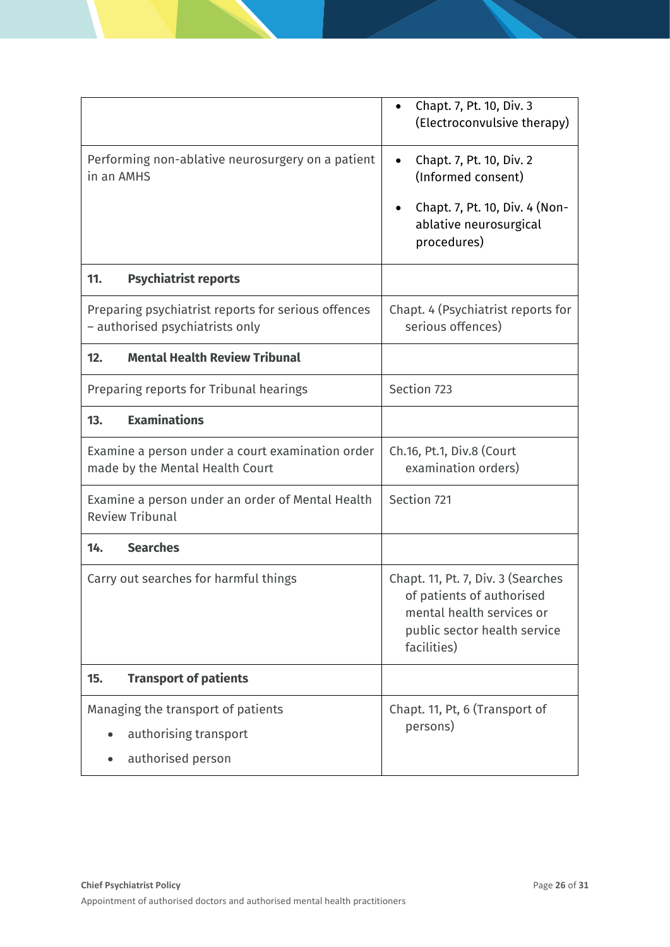|                                                                                        | Chapt. 7, Pt. 10, Div. 3<br>$\bullet$<br>(Electroconvulsive therapy)                                                                        |
|----------------------------------------------------------------------------------------|---------------------------------------------------------------------------------------------------------------------------------------------|
| Performing non-ablative neurosurgery on a patient<br>in an AMHS                        | Chapt. 7, Pt. 10, Div. 2<br>$\bullet$<br>(Informed consent)<br>Chapt. 7, Pt. 10, Div. 4 (Non-<br>ablative neurosurgical<br>procedures)      |
| <b>Psychiatrist reports</b><br>11.                                                     |                                                                                                                                             |
| Preparing psychiatrist reports for serious offences<br>- authorised psychiatrists only | Chapt. 4 (Psychiatrist reports for<br>serious offences)                                                                                     |
| <b>Mental Health Review Tribunal</b><br>12.                                            |                                                                                                                                             |
| Preparing reports for Tribunal hearings                                                | Section 723                                                                                                                                 |
| <b>Examinations</b><br>13.                                                             |                                                                                                                                             |
| Examine a person under a court examination order<br>made by the Mental Health Court    | Ch.16, Pt.1, Div.8 (Court<br>examination orders)                                                                                            |
| Examine a person under an order of Mental Health<br><b>Review Tribunal</b>             | Section 721                                                                                                                                 |
| <b>Searches</b><br>14.                                                                 |                                                                                                                                             |
| Carry out searches for harmful things                                                  | Chapt. 11, Pt. 7, Div. 3 (Searches<br>of patients of authorised<br>mental health services or<br>public sector health service<br>facilities) |
| <b>Transport of patients</b><br>15.                                                    |                                                                                                                                             |
| Managing the transport of patients<br>authorising transport                            | Chapt. 11, Pt, 6 (Transport of<br>persons)                                                                                                  |
| authorised person                                                                      |                                                                                                                                             |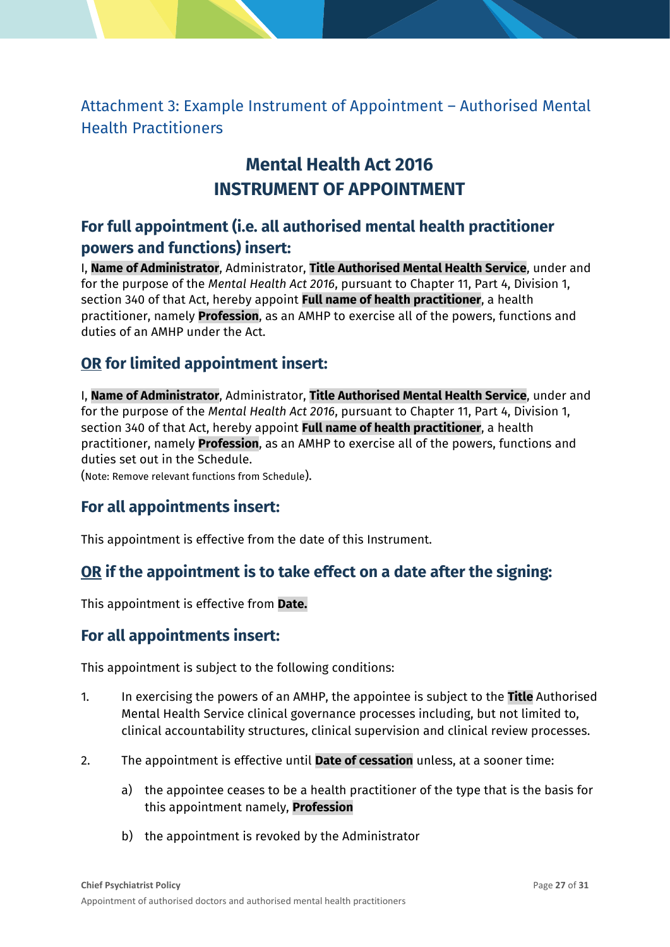<span id="page-26-0"></span>Attachment 3: Example Instrument of Appointment – Authorised Mental Health Practitioners

## **Mental Health Act 2016 INSTRUMENT OF APPOINTMENT**

## **For full appointment (i.e. all authorised mental health practitioner powers and functions) insert:**

I, **Name of Administrator**, Administrator, **Title Authorised Mental Health Service**, under and for the purpose of the *Mental Health Act 2016*, pursuant to Chapter 11, Part 4, Division 1, section 340 of that Act, hereby appoint **Full name of health practitioner**, a health practitioner, namely **Profession**, as an AMHP to exercise all of the powers, functions and duties of an AMHP under the Act.

### **OR for limited appointment insert:**

I, **Name of Administrator**, Administrator, **Title Authorised Mental Health Service**, under and for the purpose of the *Mental Health Act 2016*, pursuant to Chapter 11, Part 4, Division 1, section 340 of that Act, hereby appoint **Full name of health practitioner**, a health practitioner, namely **Profession**, as an AMHP to exercise all of the powers, functions and duties set out in the Schedule.

(Note: Remove relevant functions from Schedule).

### **For all appointments insert:**

This appointment is effective from the date of this Instrument.

### **OR if the appointment is to take effect on a date after the signing:**

This appointment is effective from **Date.**

### **For all appointments insert:**

This appointment is subject to the following conditions:

- 1. In exercising the powers of an AMHP, the appointee is subject to the **Title** Authorised Mental Health Service clinical governance processes including, but not limited to, clinical accountability structures, clinical supervision and clinical review processes.
- 2. The appointment is effective until **Date of cessation** unless, at a sooner time:
	- a) the appointee ceases to be a health practitioner of the type that is the basis for this appointment namely, **Profession**
	- b) the appointment is revoked by the Administrator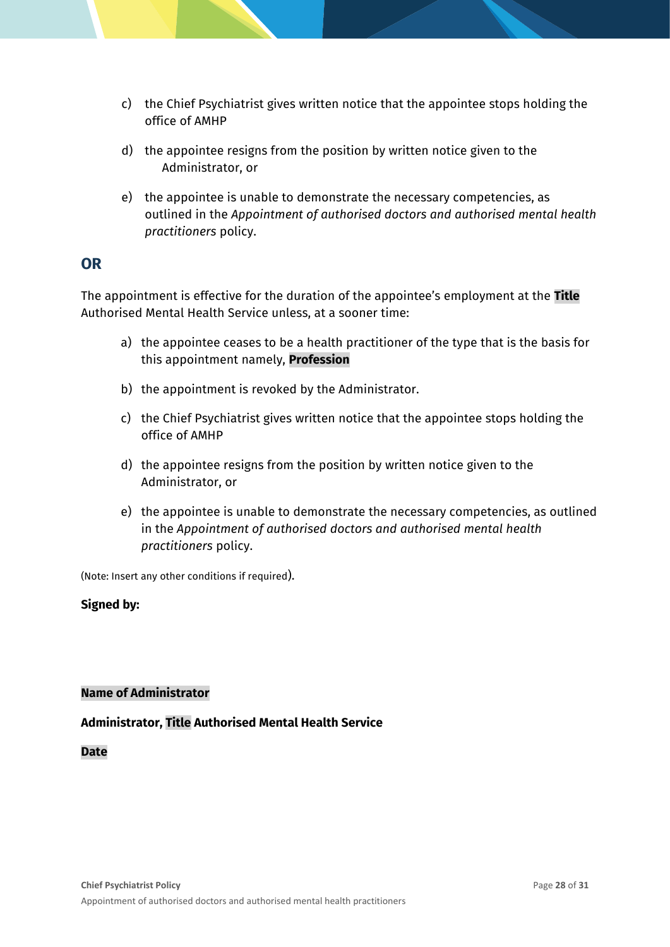- c) the Chief Psychiatrist gives written notice that the appointee stops holding the office of AMHP
- d) the appointee resigns from the position by written notice given to the Administrator, or
- e) the appointee is unable to demonstrate the necessary competencies, as outlined in the *Appointment of authorised doctors and authorised mental health practitioners* policy.

### **OR**

The appointment is effective for the duration of the appointee's employment at the **Title** Authorised Mental Health Service unless, at a sooner time:

- a) the appointee ceases to be a health practitioner of the type that is the basis for this appointment namely, **Profession**
- b) the appointment is revoked by the Administrator.
- c) the Chief Psychiatrist gives written notice that the appointee stops holding the office of AMHP
- d) the appointee resigns from the position by written notice given to the Administrator, or
- e) the appointee is unable to demonstrate the necessary competencies, as outlined in the *Appointment of authorised doctors and authorised mental health practitioners* policy.

(Note: Insert any other conditions if required).

#### **Signed by:**

#### **Name of Administrator**

#### **Administrator, Title Authorised Mental Health Service**

**Date**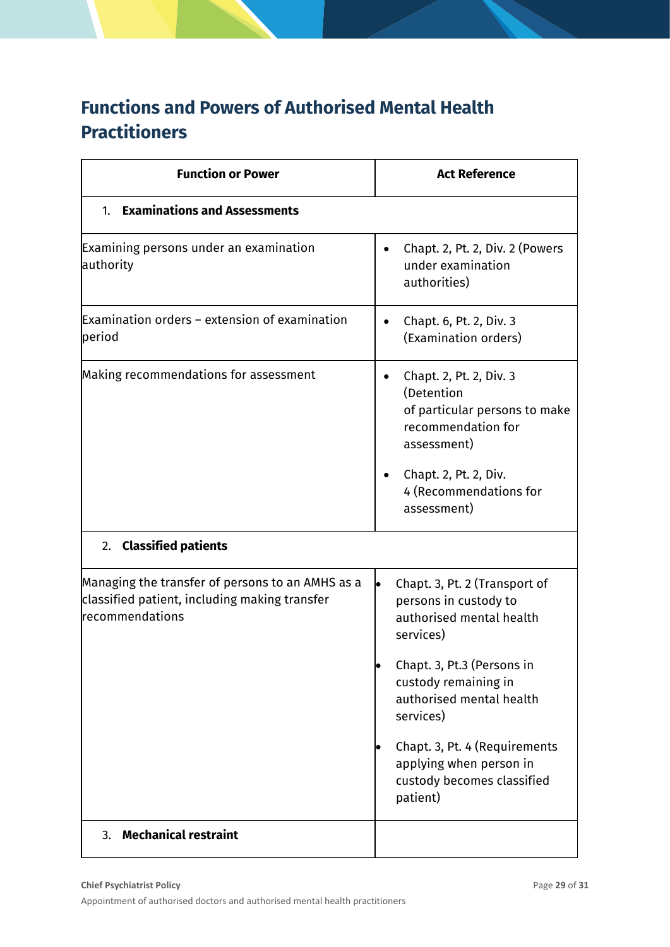## **Functions and Powers of Authorised Mental Health Practitioners**

| <b>Function or Power</b>                                                                                                    | <b>Act Reference</b>                                                                                                                                                                                                                                                                                 |
|-----------------------------------------------------------------------------------------------------------------------------|------------------------------------------------------------------------------------------------------------------------------------------------------------------------------------------------------------------------------------------------------------------------------------------------------|
| <b>Examinations and Assessments</b><br>$1_{-}$                                                                              |                                                                                                                                                                                                                                                                                                      |
| Examining persons under an examination<br>authority                                                                         | Chapt. 2, Pt. 2, Div. 2 (Powers<br>under examination<br>authorities)                                                                                                                                                                                                                                 |
| Examination orders – extension of examination<br>period                                                                     | Chapt. 6, Pt. 2, Div. 3<br>(Examination orders)                                                                                                                                                                                                                                                      |
| Making recommendations for assessment                                                                                       | Chapt. 2, Pt. 2, Div. 3<br>(Detention<br>of particular persons to make<br>recommendation for<br>assessment)<br>Chapt. 2, Pt. 2, Div.<br>4 (Recommendations for<br>assessment)                                                                                                                        |
| <b>Classified patients</b><br>2.                                                                                            |                                                                                                                                                                                                                                                                                                      |
| Managing the transfer of persons to an AMHS as a<br>classified patient, including making transfer<br><b>recommendations</b> | Chapt. 3, Pt. 2 (Transport of<br>persons in custody to<br>authorised mental health<br>services)<br>Chapt. 3, Pt.3 (Persons in<br>custody remaining in<br>authorised mental health<br>services)<br>Chapt. 3, Pt. 4 (Requirements<br>applying when person in<br>custody becomes classified<br>patient) |
| Mechanical restraint<br>3.                                                                                                  |                                                                                                                                                                                                                                                                                                      |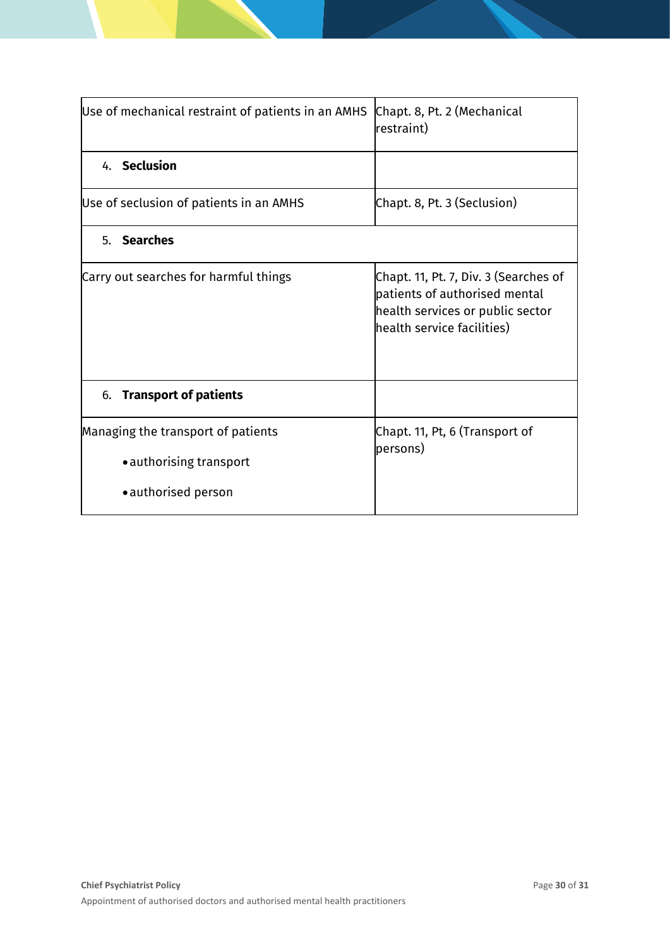| Use of mechanical restraint of patients in an AMHS | Chapt. 8, Pt. 2 (Mechanical<br>restraint)                                                                                                |  |  |
|----------------------------------------------------|------------------------------------------------------------------------------------------------------------------------------------------|--|--|
| 4. Seclusion                                       |                                                                                                                                          |  |  |
| Use of seclusion of patients in an AMHS            | Chapt. 8, Pt. 3 (Seclusion)                                                                                                              |  |  |
| 5. Searches                                        |                                                                                                                                          |  |  |
| Carry out searches for harmful things              | Chapt. 11, Pt. 7, Div. 3 (Searches of<br>patients of authorised mental<br>health services or public sector<br>health service facilities) |  |  |
| <b>Transport of patients</b><br>6.                 |                                                                                                                                          |  |  |
| Managing the transport of patients                 | Chapt. 11, Pt, 6 (Transport of<br>persons)                                                                                               |  |  |
| • authorising transport                            |                                                                                                                                          |  |  |
| • authorised person                                |                                                                                                                                          |  |  |